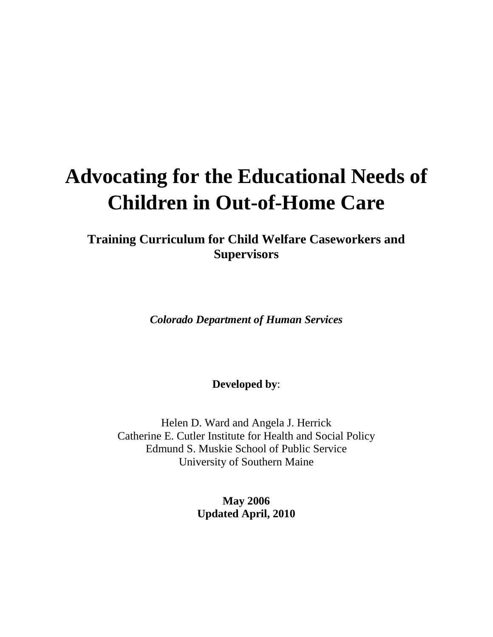# **Advocating for the Educational Needs of Children in Out-of-Home Care**

**Training Curriculum for Child Welfare Caseworkers and Supervisors**

*Colorado Department of Human Services*

**Developed by**:

Helen D. Ward and Angela J. Herrick Catherine E. Cutler Institute for Health and Social Policy Edmund S. Muskie School of Public Service University of Southern Maine

> **May 2006 Updated April, 2010**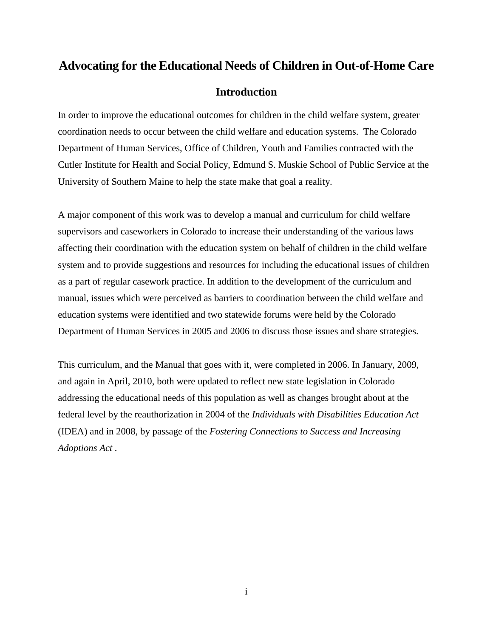## **Advocating for the Educational Needs of Children in Out-of-Home Care**

## **Introduction**

In order to improve the educational outcomes for children in the child welfare system, greater coordination needs to occur between the child welfare and education systems. The Colorado Department of Human Services, Office of Children, Youth and Families contracted with the Cutler Institute for Health and Social Policy, Edmund S. Muskie School of Public Service at the University of Southern Maine to help the state make that goal a reality.

A major component of this work was to develop a manual and curriculum for child welfare supervisors and caseworkers in Colorado to increase their understanding of the various laws affecting their coordination with the education system on behalf of children in the child welfare system and to provide suggestions and resources for including the educational issues of children as a part of regular casework practice. In addition to the development of the curriculum and manual, issues which were perceived as barriers to coordination between the child welfare and education systems were identified and two statewide forums were held by the Colorado Department of Human Services in 2005 and 2006 to discuss those issues and share strategies.

This curriculum, and the Manual that goes with it, were completed in 2006. In January, 2009, and again in April, 2010, both were updated to reflect new state legislation in Colorado addressing the educational needs of this population as well as changes brought about at the federal level by the reauthorization in 2004 of the *Individuals with Disabilities Education Act*  (IDEA) and in 2008, by passage of the *Fostering Connections to Success and Increasing Adoptions Act .*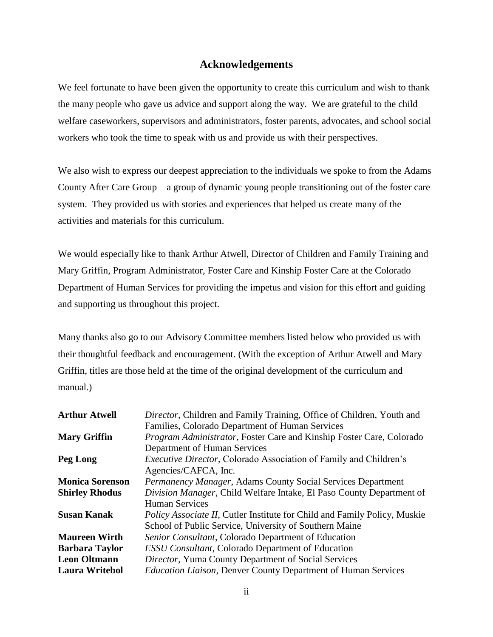## **Acknowledgements**

We feel fortunate to have been given the opportunity to create this curriculum and wish to thank the many people who gave us advice and support along the way. We are grateful to the child welfare caseworkers, supervisors and administrators, foster parents, advocates, and school social workers who took the time to speak with us and provide us with their perspectives.

We also wish to express our deepest appreciation to the individuals we spoke to from the Adams County After Care Group—a group of dynamic young people transitioning out of the foster care system. They provided us with stories and experiences that helped us create many of the activities and materials for this curriculum.

We would especially like to thank Arthur Atwell, Director of Children and Family Training and Mary Griffin, Program Administrator, Foster Care and Kinship Foster Care at the Colorado Department of Human Services for providing the impetus and vision for this effort and guiding and supporting us throughout this project.

Many thanks also go to our Advisory Committee members listed below who provided us with their thoughtful feedback and encouragement. (With the exception of Arthur Atwell and Mary Griffin, titles are those held at the time of the original development of the curriculum and manual.)

| <b>Arthur Atwell</b>   | Director, Children and Family Training, Office of Children, Youth and             |
|------------------------|-----------------------------------------------------------------------------------|
|                        | Families, Colorado Department of Human Services                                   |
| <b>Mary Griffin</b>    | Program Administrator, Foster Care and Kinship Foster Care, Colorado              |
|                        | Department of Human Services                                                      |
| Peg Long               | <i>Executive Director</i> , Colorado Association of Family and Children's         |
|                        | Agencies/CAFCA, Inc.                                                              |
| <b>Monica Sorenson</b> | Permanency Manager, Adams County Social Services Department                       |
| <b>Shirley Rhodus</b>  | Division Manager, Child Welfare Intake, El Paso County Department of              |
|                        | <b>Human Services</b>                                                             |
| <b>Susan Kanak</b>     | <i>Policy Associate II</i> , Cutler Institute for Child and Family Policy, Muskie |
|                        | School of Public Service, University of Southern Maine                            |
| <b>Maureen Wirth</b>   | Senior Consultant, Colorado Department of Education                               |
| <b>Barbara Taylor</b>  | <b>ESSU Consultant, Colorado Department of Education</b>                          |
| <b>Leon Oltmann</b>    | Director, Yuma County Department of Social Services                               |
| <b>Laura Writebol</b>  | <i>Education Liaison</i> , Denver County Department of Human Services             |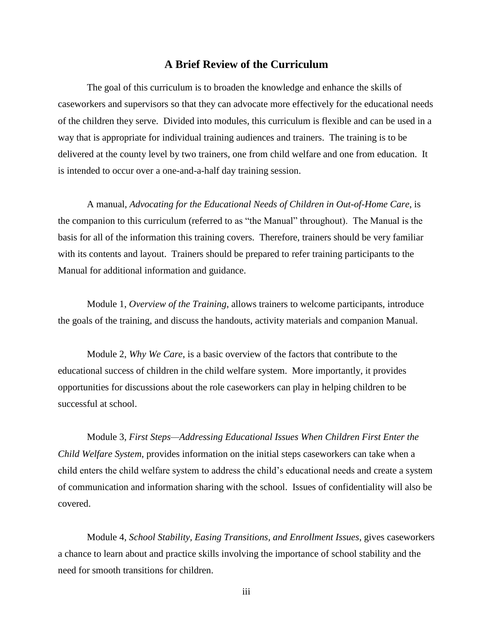## **A Brief Review of the Curriculum**

The goal of this curriculum is to broaden the knowledge and enhance the skills of caseworkers and supervisors so that they can advocate more effectively for the educational needs of the children they serve. Divided into modules, this curriculum is flexible and can be used in a way that is appropriate for individual training audiences and trainers. The training is to be delivered at the county level by two trainers, one from child welfare and one from education. It is intended to occur over a one-and-a-half day training session.

A manual, *Advocating for the Educational Needs of Children in Out-of-Home Care*, is the companion to this curriculum (referred to as "the Manual" throughout). The Manual is the basis for all of the information this training covers. Therefore, trainers should be very familiar with its contents and layout. Trainers should be prepared to refer training participants to the Manual for additional information and guidance.

Module 1, *Overview of the Training*, allows trainers to welcome participants, introduce the goals of the training, and discuss the handouts, activity materials and companion Manual.

Module 2, *Why We Care*, is a basic overview of the factors that contribute to the educational success of children in the child welfare system. More importantly, it provides opportunities for discussions about the role caseworkers can play in helping children to be successful at school.

Module 3, *First Steps—Addressing Educational Issues When Children First Enter the Child Welfare System*, provides information on the initial steps caseworkers can take when a child enters the child welfare system to address the child's educational needs and create a system of communication and information sharing with the school. Issues of confidentiality will also be covered.

Module 4, *School Stability, Easing Transitions, and Enrollment Issues*, gives caseworkers a chance to learn about and practice skills involving the importance of school stability and the need for smooth transitions for children.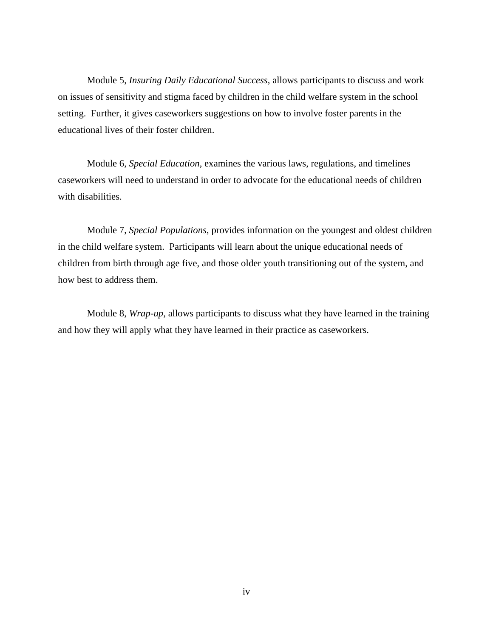Module 5, *Insuring Daily Educational Success*, allows participants to discuss and work on issues of sensitivity and stigma faced by children in the child welfare system in the school setting. Further, it gives caseworkers suggestions on how to involve foster parents in the educational lives of their foster children.

Module 6, *Special Education*, examines the various laws, regulations, and timelines caseworkers will need to understand in order to advocate for the educational needs of children with disabilities.

Module 7, *Special Populations*, provides information on the youngest and oldest children in the child welfare system. Participants will learn about the unique educational needs of children from birth through age five, and those older youth transitioning out of the system, and how best to address them.

Module 8, *Wrap-up*, allows participants to discuss what they have learned in the training and how they will apply what they have learned in their practice as caseworkers.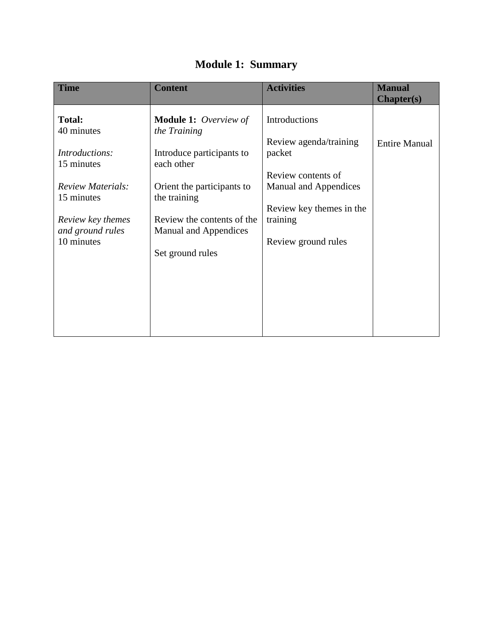| <b>Time</b>                            | <b>Content</b>                                             | <b>Activities</b>                                        | <b>Manual</b><br><b>Chapter(s)</b> |
|----------------------------------------|------------------------------------------------------------|----------------------------------------------------------|------------------------------------|
| <b>Total:</b><br>40 minutes            | <b>Module 1:</b> Overview of<br>the Training               | Introductions                                            |                                    |
| Introductions:                         | Introduce participants to                                  | Review agenda/training<br>packet                         | <b>Entire Manual</b>               |
| 15 minutes<br><b>Review Materials:</b> | each other                                                 | Review contents of                                       |                                    |
| 15 minutes                             | Orient the participants to<br>the training                 | <b>Manual and Appendices</b><br>Review key themes in the |                                    |
| Review key themes<br>and ground rules  | Review the contents of the<br><b>Manual and Appendices</b> | training                                                 |                                    |
| 10 minutes                             | Set ground rules                                           | Review ground rules                                      |                                    |
|                                        |                                                            |                                                          |                                    |
|                                        |                                                            |                                                          |                                    |
|                                        |                                                            |                                                          |                                    |

## **Module 1: Summary**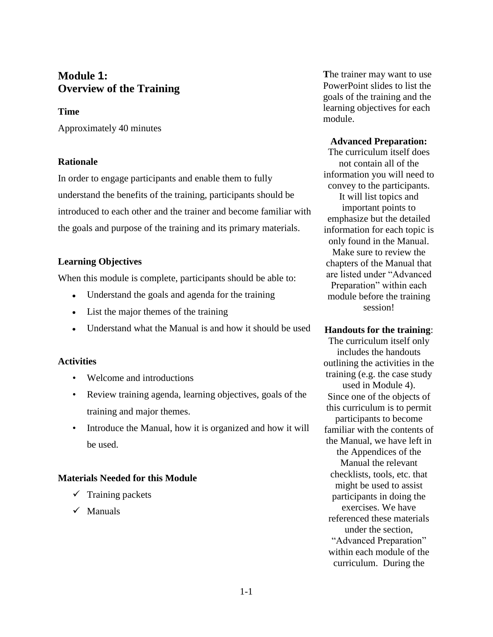## **Module 1: Overview of the Training**

## **Time**

Approximately 40 minutes

## **Rationale**

In order to engage participants and enable them to fully understand the benefits of the training, participants should be introduced to each other and the trainer and become familiar with the goals and purpose of the training and its primary materials.

## **Learning Objectives**

When this module is complete, participants should be able to:

- Understand the goals and agenda for the training
- List the major themes of the training
- Understand what the Manual is and how it should be used

## **Activities**

- Welcome and introductions
- Review training agenda, learning objectives, goals of the training and major themes.
- Introduce the Manual, how it is organized and how it will be used.

## **Materials Needed for this Module**

- $\checkmark$  Training packets
- $\checkmark$  Manuals

**T**he trainer may want to use PowerPoint slides to list the goals of the training and the learning objectives for each module.

## **Advanced Preparation:**

The curriculum itself does not contain all of the information you will need to convey to the participants. It will list topics and important points to emphasize but the detailed information for each topic is only found in the Manual. Make sure to review the chapters of the Manual that are listed under "Advanced Preparation" within each module before the training session!

## **Handouts for the training**:

The curriculum itself only includes the handouts outlining the activities in the training (e.g. the case study used in Module 4). Since one of the objects of this curriculum is to permit participants to become familiar with the contents of the Manual, we have left in the Appendices of the Manual the relevant checklists, tools, etc. that might be used to assist participants in doing the exercises. We have referenced these materials under the section, "Advanced Preparation" within each module of the curriculum. During the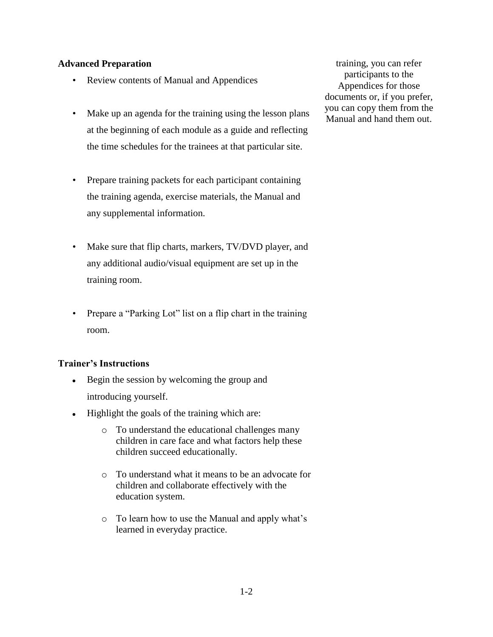## **Advanced Preparation**

- Review contents of Manual and Appendices
- Make up an agenda for the training using the lesson plans at the beginning of each module as a guide and reflecting the time schedules for the trainees at that particular site.
- Prepare training packets for each participant containing the training agenda, exercise materials, the Manual and any supplemental information.
- Make sure that flip charts, markers, TV/DVD player, and any additional audio/visual equipment are set up in the training room.
- Prepare a "Parking Lot" list on a flip chart in the training room.

## **Trainer's Instructions**

- Begin the session by welcoming the group and  $\bullet$ introducing yourself.
- Highlight the goals of the training which are:
	- o To understand the educational challenges many children in care face and what factors help these children succeed educationally.
	- o To understand what it means to be an advocate for children and collaborate effectively with the education system.
	- o To learn how to use the Manual and apply what's learned in everyday practice.

training, you can refer participants to the Appendices for those documents or, if you prefer, you can copy them from the Manual and hand them out.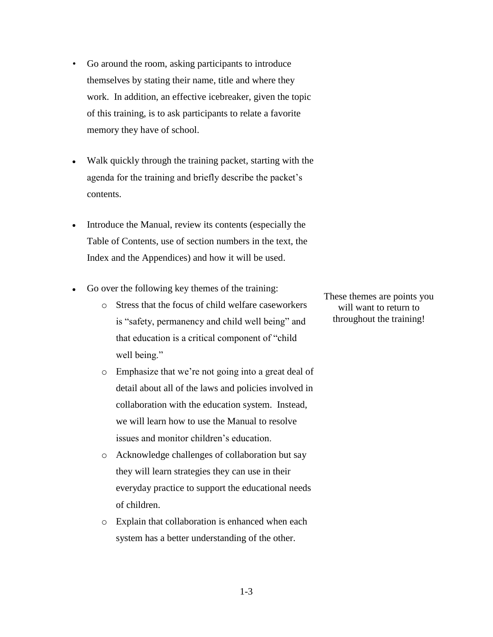- Go around the room, asking participants to introduce themselves by stating their name, title and where they work. In addition, an effective icebreaker, given the topic of this training, is to ask participants to relate a favorite memory they have of school.
- Walk quickly through the training packet, starting with the agenda for the training and briefly describe the packet's contents.
- Introduce the Manual, review its contents (especially the  $\bullet$ Table of Contents, use of section numbers in the text, the Index and the Appendices) and how it will be used.
- Go over the following key themes of the training:  $\bullet$ 
	- o Stress that the focus of child welfare caseworkers is "safety, permanency and child well being" and that education is a critical component of "child" well being."
	- o Emphasize that we're not going into a great deal of detail about all of the laws and policies involved in collaboration with the education system. Instead, we will learn how to use the Manual to resolve issues and monitor children's education.
	- o Acknowledge challenges of collaboration but say they will learn strategies they can use in their everyday practice to support the educational needs of children.
	- o Explain that collaboration is enhanced when each system has a better understanding of the other.

These themes are points you will want to return to throughout the training!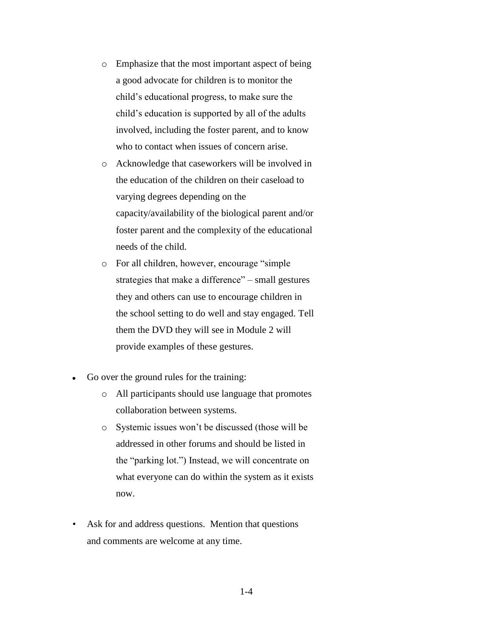- o Emphasize that the most important aspect of being a good advocate for children is to monitor the child's educational progress, to make sure the child's education is supported by all of the adults involved, including the foster parent, and to know who to contact when issues of concern arise.
- o Acknowledge that caseworkers will be involved in the education of the children on their caseload to varying degrees depending on the capacity/availability of the biological parent and/or foster parent and the complexity of the educational needs of the child.
- o For all children, however, encourage "simple" strategies that make a difference" – small gestures they and others can use to encourage children in the school setting to do well and stay engaged. Tell them the DVD they will see in Module 2 will provide examples of these gestures.
- Go over the ground rules for the training:  $\bullet$ 
	- o All participants should use language that promotes collaboration between systems.
	- o Systemic issues won't be discussed (those will be addressed in other forums and should be listed in the "parking lot.") Instead, we will concentrate on what everyone can do within the system as it exists now.
- Ask for and address questions. Mention that questions and comments are welcome at any time.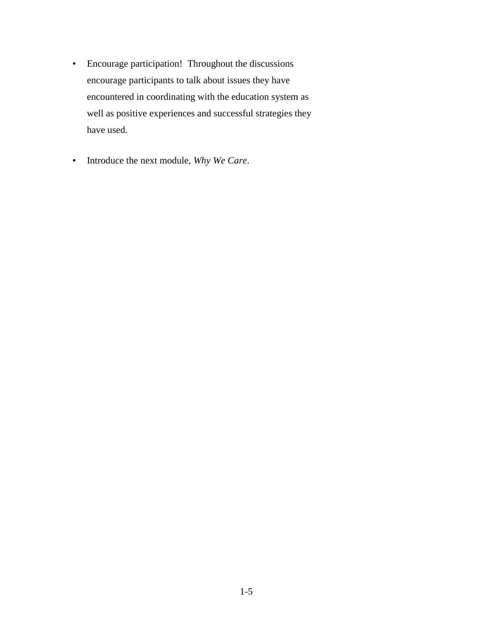- Encourage participation! Throughout the discussions encourage participants to talk about issues they have encountered in coordinating with the education system as well as positive experiences and successful strategies they have used.
- Introduce the next module, *Why We Care*.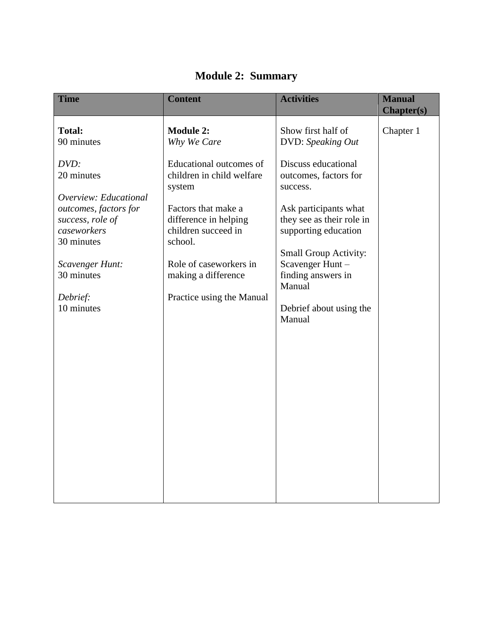| <b>Time</b>                                                            | <b>Content</b>                                                                 | <b>Activities</b>                                                                                          | <b>Manual</b><br><b>Chapter(s)</b> |
|------------------------------------------------------------------------|--------------------------------------------------------------------------------|------------------------------------------------------------------------------------------------------------|------------------------------------|
| <b>Total:</b><br>90 minutes                                            | <b>Module 2:</b><br>Why We Care                                                | Show first half of<br>DVD: Speaking Out                                                                    | Chapter 1                          |
| DVD:<br>20 minutes<br>Overview: Educational                            | Educational outcomes of<br>children in child welfare<br>system                 | Discuss educational<br>outcomes, factors for<br>success.                                                   |                                    |
| outcomes, factors for<br>success, role of<br>caseworkers<br>30 minutes | Factors that make a<br>difference in helping<br>children succeed in<br>school. | Ask participants what<br>they see as their role in<br>supporting education<br><b>Small Group Activity:</b> |                                    |
| Scavenger Hunt:<br>30 minutes                                          | Role of caseworkers in<br>making a difference                                  | Scavenger Hunt-<br>finding answers in<br>Manual                                                            |                                    |
| Debrief:<br>10 minutes                                                 | Practice using the Manual                                                      | Debrief about using the<br>Manual                                                                          |                                    |
|                                                                        |                                                                                |                                                                                                            |                                    |
|                                                                        |                                                                                |                                                                                                            |                                    |

## **Module 2: Summary**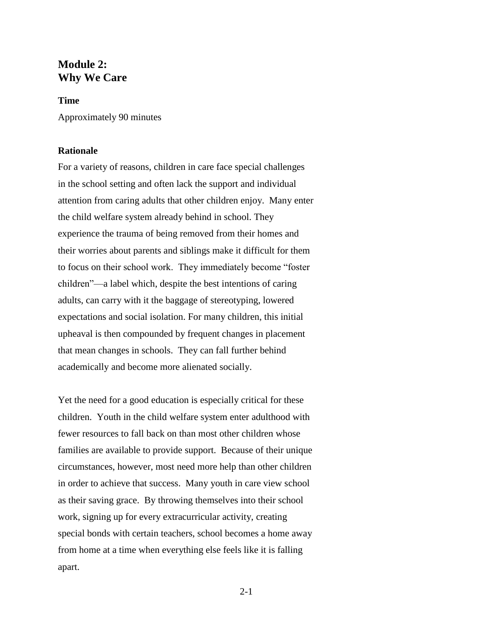## **Module 2: Why We Care**

#### **Time**

Approximately 90 minutes

## **Rationale**

For a variety of reasons, children in care face special challenges in the school setting and often lack the support and individual attention from caring adults that other children enjoy. Many enter the child welfare system already behind in school. They experience the trauma of being removed from their homes and their worries about parents and siblings make it difficult for them to focus on their school work. They immediately become "foster" children"—a label which, despite the best intentions of caring adults, can carry with it the baggage of stereotyping, lowered expectations and social isolation. For many children, this initial upheaval is then compounded by frequent changes in placement that mean changes in schools. They can fall further behind academically and become more alienated socially.

Yet the need for a good education is especially critical for these children. Youth in the child welfare system enter adulthood with fewer resources to fall back on than most other children whose families are available to provide support. Because of their unique circumstances, however, most need more help than other children in order to achieve that success. Many youth in care view school as their saving grace. By throwing themselves into their school work, signing up for every extracurricular activity, creating special bonds with certain teachers, school becomes a home away from home at a time when everything else feels like it is falling apart.

2-1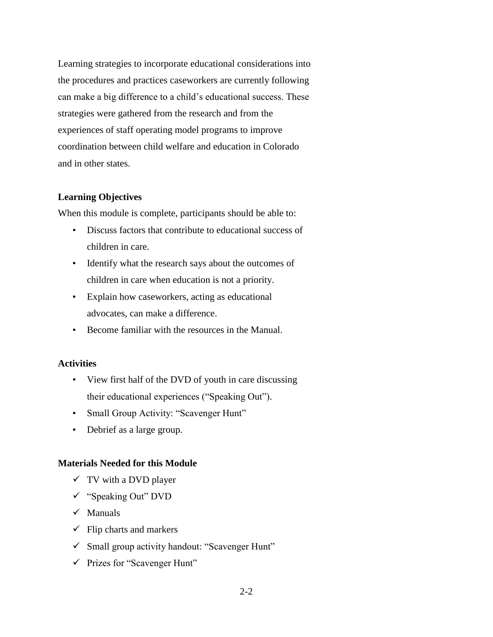Learning strategies to incorporate educational considerations into the procedures and practices caseworkers are currently following can make a big difference to a child's educational success. These strategies were gathered from the research and from the experiences of staff operating model programs to improve coordination between child welfare and education in Colorado and in other states.

#### **Learning Objectives**

When this module is complete, participants should be able to:

- Discuss factors that contribute to educational success of children in care.
- Identify what the research says about the outcomes of children in care when education is not a priority.
- Explain how caseworkers, acting as educational advocates, can make a difference.
- Become familiar with the resources in the Manual.

## **Activities**

- View first half of the DVD of youth in care discussing their educational experiences ("Speaking Out").
- Small Group Activity: "Scavenger Hunt"
- Debrief as a large group.

#### **Materials Needed for this Module**

- $\checkmark$  TV with a DVD player
- $\checkmark$  "Speaking Out" DVD
- $\checkmark$  Manuals
- $\checkmark$  Flip charts and markers
- $\checkmark$  Small group activity handout: "Scavenger Hunt"
- $\checkmark$  Prizes for "Scavenger Hunt"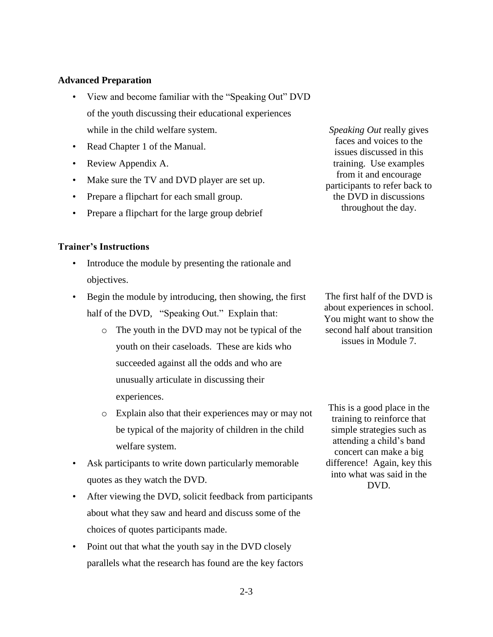#### **Advanced Preparation**

- View and become familiar with the "Speaking Out" DVD of the youth discussing their educational experiences while in the child welfare system.
- Read Chapter 1 of the Manual.
- Review Appendix A.
- Make sure the TV and DVD player are set up.
- Prepare a flipchart for each small group.
- Prepare a flipchart for the large group debrief

## **Trainer's Instructions**

- Introduce the module by presenting the rationale and objectives.
- Begin the module by introducing, then showing, the first half of the DVD, "Speaking Out." Explain that:
	- o The youth in the DVD may not be typical of the youth on their caseloads. These are kids who succeeded against all the odds and who are unusually articulate in discussing their experiences.
	- o Explain also that their experiences may or may not be typical of the majority of children in the child welfare system.
- Ask participants to write down particularly memorable quotes as they watch the DVD.
- After viewing the DVD, solicit feedback from participants about what they saw and heard and discuss some of the choices of quotes participants made.
- Point out that what the youth say in the DVD closely parallels what the research has found are the key factors

*Speaking Out* really gives faces and voices to the issues discussed in this training. Use examples from it and encourage participants to refer back to the DVD in discussions throughout the day.

The first half of the DVD is about experiences in school. You might want to show the second half about transition issues in Module 7.

This is a good place in the training to reinforce that simple strategies such as attending a child's band concert can make a big difference! Again, key this into what was said in the DVD.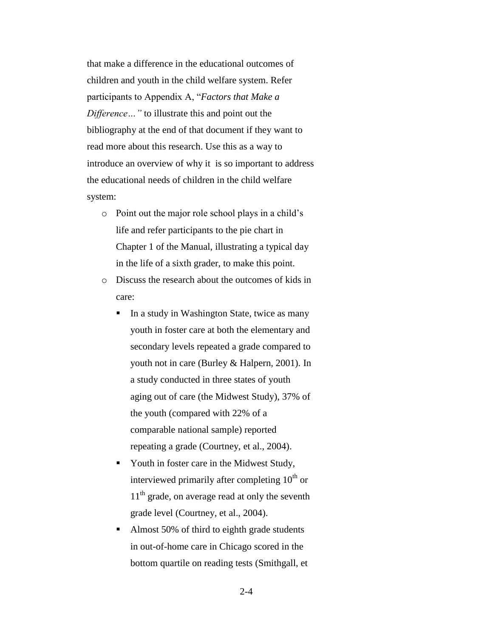that make a difference in the educational outcomes of children and youth in the child welfare system. Refer participants to Appendix A, "Factors that Make a *Difference…"* to illustrate this and point out the bibliography at the end of that document if they want to read more about this research. Use this as a way to introduce an overview of why it is so important to address the educational needs of children in the child welfare system:

- o Point out the major role school plays in a child's life and refer participants to the pie chart in Chapter 1 of the Manual, illustrating a typical day in the life of a sixth grader, to make this point.
- o Discuss the research about the outcomes of kids in care:
	- In a study in Washington State, twice as many youth in foster care at both the elementary and secondary levels repeated a grade compared to youth not in care (Burley & Halpern, 2001). In a study conducted in three states of youth aging out of care (the Midwest Study), 37% of the youth (compared with 22% of a comparable national sample) reported repeating a grade (Courtney, et al., 2004).
	- Youth in foster care in the Midwest Study, interviewed primarily after completing  $10^{th}$  or  $11<sup>th</sup>$  grade, on average read at only the seventh grade level (Courtney, et al., 2004).
	- Almost 50% of third to eighth grade students in out-of-home care in Chicago scored in the bottom quartile on reading tests (Smithgall, et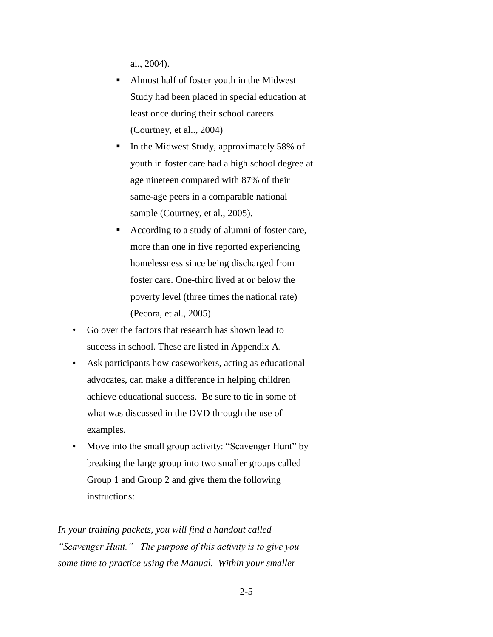al., 2004).

- Almost half of foster youth in the Midwest Study had been placed in special education at least once during their school careers. (Courtney, et al.., 2004)
- In the Midwest Study, approximately 58% of youth in foster care had a high school degree at age nineteen compared with 87% of their same-age peers in a comparable national sample (Courtney, et al., 2005).
- According to a study of alumni of foster care, more than one in five reported experiencing homelessness since being discharged from foster care. One-third lived at or below the poverty level (three times the national rate) (Pecora, et al., 2005).
- Go over the factors that research has shown lead to success in school. These are listed in Appendix A.
- Ask participants how caseworkers, acting as educational advocates, can make a difference in helping children achieve educational success. Be sure to tie in some of what was discussed in the DVD through the use of examples.
- Move into the small group activity: "Scavenger Hunt" by breaking the large group into two smaller groups called Group 1 and Group 2 and give them the following instructions:

*In your training packets, you will find a handout called "Scavenger Hunt." The purpose of this activity is to give you some time to practice using the Manual. Within your smaller*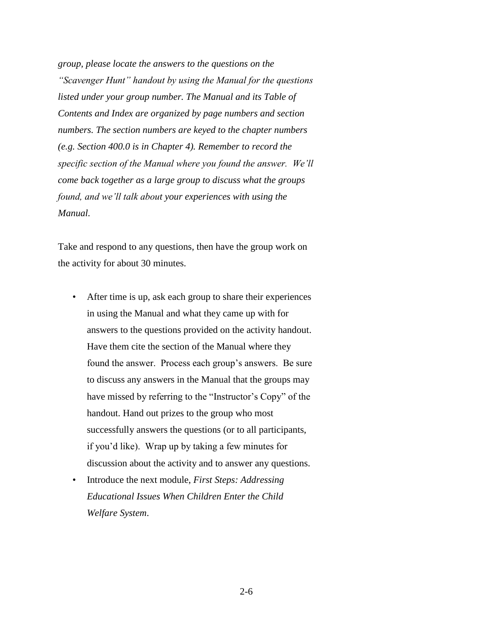*group, please locate the answers to the questions on the "Scavenger Hunt" handout by using the Manual for the questions listed under your group number. The Manual and its Table of Contents and Index are organized by page numbers and section numbers. The section numbers are keyed to the chapter numbers (e.g. Section 400.0 is in Chapter 4). Remember to record the specific section of the Manual where you found the answer. We'll come back together as a large group to discuss what the groups found, and we'll talk about your experiences with using the Manual.*

Take and respond to any questions, then have the group work on the activity for about 30 minutes.

- After time is up, ask each group to share their experiences in using the Manual and what they came up with for answers to the questions provided on the activity handout. Have them cite the section of the Manual where they found the answer. Process each group's answers. Be sure to discuss any answers in the Manual that the groups may have missed by referring to the "Instructor's Copy" of the handout. Hand out prizes to the group who most successfully answers the questions (or to all participants, if you'd like). Wrap up by taking a few minutes for discussion about the activity and to answer any questions.
- Introduce the next module, *First Steps: Addressing Educational Issues When Children Enter the Child Welfare System*.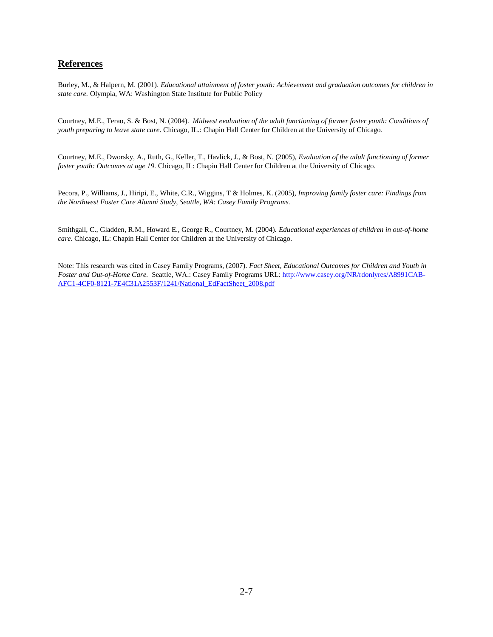#### **References**

Burley, M., & Halpern, M. (2001). *Educational attainment of foster youth: Achievement and graduation outcomes for children in state care.* Olympia, WA: Washington State Institute for Public Policy

Courtney, M.E., Terao, S. & Bost, N. (2004). *Midwest evaluation of the adult functioning of former foster youth: Conditions of youth preparing to leave state care*. Chicago, IL.: Chapin Hall Center for Children at the University of Chicago.

Courtney, M.E., Dworsky, A., Ruth, G., Keller, T., Havlick, J., & Bost, N. (2005), *Evaluation of the adult functioning of former foster youth: Outcomes at age 19.* Chicago, IL: Chapin Hall Center for Children at the University of Chicago.

Pecora, P., Williams, J., Hiripi, E., White, C.R., Wiggins, T & Holmes, K. (2005), *Improving family foster care: Findings from the Northwest Foster Care Alumni Study, Seattle, WA: Casey Family Programs.*

Smithgall, C., Gladden, R.M., Howard E., George R., Courtney, M. (2004). *Educational experiences of children in out-of-home care*. Chicago, IL: Chapin Hall Center for Children at the University of Chicago.

Note: This research was cited in Casey Family Programs, (2007). *Fact Sheet, Educational Outcomes for Children and Youth in Foster and Out-of-Home Care.* Seattle, WA.: Casey Family Programs URL: [http://www.casey.org/NR/rdonlyres/A8991CAB-](http://www.casey.org/NR/rdonlyres/A8991CAB-AFC1-4CF0-8121-7E4C31A2553F/1241/National_EdFactSheet_2008.pdf)[AFC1-4CF0-8121-7E4C31A2553F/1241/National\\_EdFactSheet\\_2008.pdf](http://www.casey.org/NR/rdonlyres/A8991CAB-AFC1-4CF0-8121-7E4C31A2553F/1241/National_EdFactSheet_2008.pdf)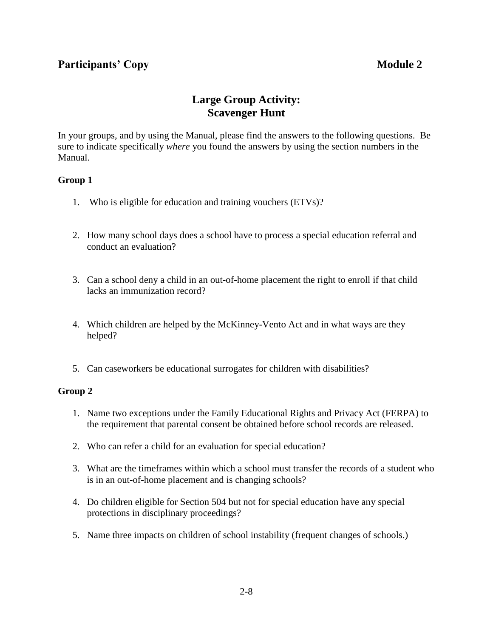## **Participants' Copy Module 2**

## **Large Group Activity: Scavenger Hunt**

In your groups, and by using the Manual, please find the answers to the following questions. Be sure to indicate specifically *where* you found the answers by using the section numbers in the Manual.

## **Group 1**

- 1. Who is eligible for education and training vouchers (ETVs)?
- 2. How many school days does a school have to process a special education referral and conduct an evaluation?
- 3. Can a school deny a child in an out-of-home placement the right to enroll if that child lacks an immunization record?
- 4. Which children are helped by the McKinney-Vento Act and in what ways are they helped?
- 5. Can caseworkers be educational surrogates for children with disabilities?

## **Group 2**

- 1. Name two exceptions under the Family Educational Rights and Privacy Act (FERPA) to the requirement that parental consent be obtained before school records are released.
- 2. Who can refer a child for an evaluation for special education?
- 3. What are the timeframes within which a school must transfer the records of a student who is in an out-of-home placement and is changing schools?
- 4. Do children eligible for Section 504 but not for special education have any special protections in disciplinary proceedings?
- 5. Name three impacts on children of school instability (frequent changes of schools.)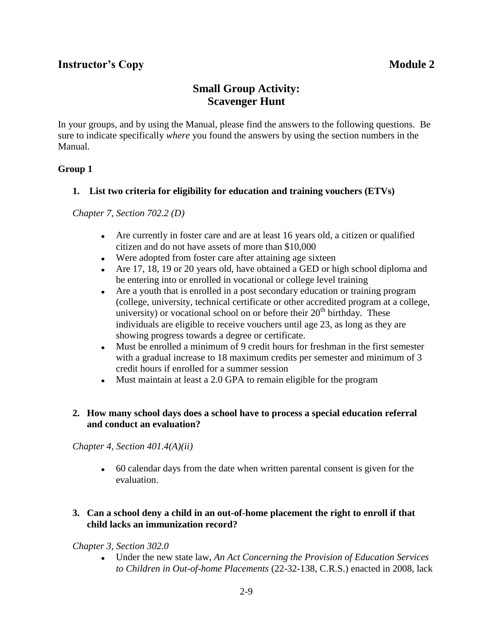## **Small Group Activity: Scavenger Hunt**

In your groups, and by using the Manual, please find the answers to the following questions. Be sure to indicate specifically *where* you found the answers by using the section numbers in the Manual.

## **Group 1**

## **1. List two criteria for eligibility for education and training vouchers (ETVs)**

*Chapter 7, Section 702.2 (D)*

- Are currently in foster care and are at least 16 years old, a citizen or qualified citizen and do not have assets of more than \$10,000
- Were adopted from foster care after attaining age sixteen
- Are 17, 18, 19 or 20 years old, have obtained a GED or high school diploma and be entering into or enrolled in vocational or college level training
- $\bullet$ Are a youth that is enrolled in a post secondary education or training program (college, university, technical certificate or other accredited program at a college, university) or vocational school on or before their 20<sup>th</sup> birthday. These individuals are eligible to receive vouchers until age 23, as long as they are showing progress towards a degree or certificate.
- $\bullet$ Must be enrolled a minimum of 9 credit hours for freshman in the first semester with a gradual increase to 18 maximum credits per semester and minimum of 3 credit hours if enrolled for a summer session
- Must maintain at least a 2.0 GPA to remain eligible for the program

## **2. How many school days does a school have to process a special education referral and conduct an evaluation?**

*Chapter 4, Section 401.4(A)(ii)*

60 calendar days from the date when written parental consent is given for the evaluation.

## **3. Can a school deny a child in an out-of-home placement the right to enroll if that child lacks an immunization record?**

## *Chapter 3, Section 302.0*

 $\bullet$ Under the new state law, *An Act Concerning the Provision of Education Services to Children in Out-of-home Placements* (22-32-138, C.R.S.) enacted in 2008, lack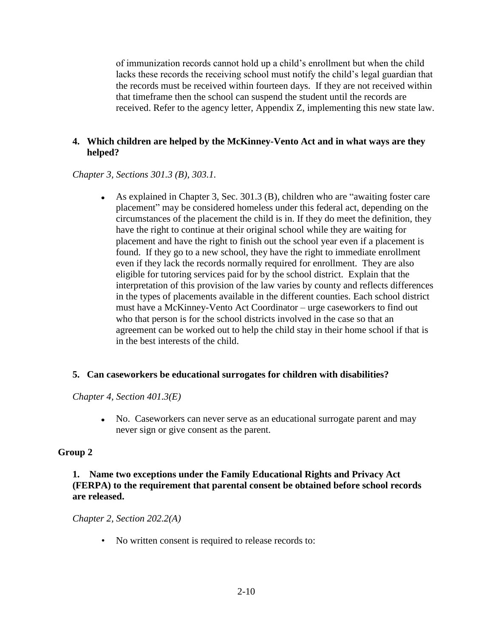of immunization records cannot hold up a child's enrollment but when the child lacks these records the receiving school must notify the child's legal guardian that the records must be received within fourteen days. If they are not received within that timeframe then the school can suspend the student until the records are received. Refer to the agency letter, Appendix Z, implementing this new state law.

## **4. Which children are helped by the McKinney-Vento Act and in what ways are they helped?**

*Chapter 3, Sections 301.3 (B), 303.1.* 

As explained in Chapter 3, Sec.  $301.3$  (B), children who are "awaiting foster care placement" may be considered homeless under this federal act, depending on the circumstances of the placement the child is in. If they do meet the definition, they have the right to continue at their original school while they are waiting for placement and have the right to finish out the school year even if a placement is found. If they go to a new school, they have the right to immediate enrollment even if they lack the records normally required for enrollment. They are also eligible for tutoring services paid for by the school district. Explain that the interpretation of this provision of the law varies by county and reflects differences in the types of placements available in the different counties. Each school district must have a McKinney-Vento Act Coordinator – urge caseworkers to find out who that person is for the school districts involved in the case so that an agreement can be worked out to help the child stay in their home school if that is in the best interests of the child.

## **5. Can caseworkers be educational surrogates for children with disabilities?**

*Chapter 4, Section 401.3(E)* 

No. Caseworkers can never serve as an educational surrogate parent and may never sign or give consent as the parent.

## **Group 2**

## **1. Name two exceptions under the Family Educational Rights and Privacy Act (FERPA) to the requirement that parental consent be obtained before school records are released.**

*Chapter 2, Section 202.2(A)*

• No written consent is required to release records to: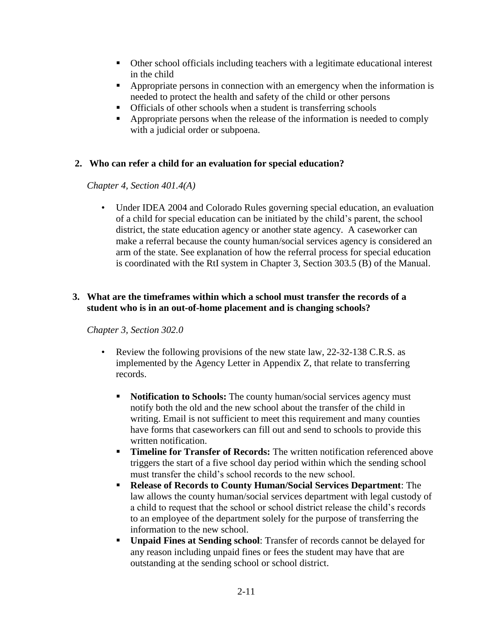- Other school officials including teachers with a legitimate educational interest in the child
- Appropriate persons in connection with an emergency when the information is needed to protect the health and safety of the child or other persons
- **•** Officials of other schools when a student is transferring schools
- Appropriate persons when the release of the information is needed to comply with a judicial order or subpoena.

## **2. Who can refer a child for an evaluation for special education?**

*Chapter 4, Section 401.4(A)*

• Under IDEA 2004 and Colorado Rules governing special education, an evaluation of a child for special education can be initiated by the child's parent, the school district, the state education agency or another state agency. A caseworker can make a referral because the county human/social services agency is considered an arm of the state. See explanation of how the referral process for special education is coordinated with the RtI system in Chapter 3, Section 303.5 (B) of the Manual.

## **3. What are the timeframes within which a school must transfer the records of a student who is in an out-of-home placement and is changing schools?**

## *Chapter 3, Section 302.0*

- Review the following provisions of the new state law, 22-32-138 C.R.S. as implemented by the Agency Letter in Appendix Z, that relate to transferring records.
	- **Notification to Schools:** The county human/social services agency must notify both the old and the new school about the transfer of the child in writing. Email is not sufficient to meet this requirement and many counties have forms that caseworkers can fill out and send to schools to provide this written notification.
	- **Timeline for Transfer of Records:** The written notification referenced above triggers the start of a five school day period within which the sending school must transfer the child's school records to the new school.
	- **Release of Records to County Human/Social Services Department**: The law allows the county human/social services department with legal custody of a child to request that the school or school district release the child's records to an employee of the department solely for the purpose of transferring the information to the new school.
	- **Unpaid Fines at Sending school**: Transfer of records cannot be delayed for any reason including unpaid fines or fees the student may have that are outstanding at the sending school or school district.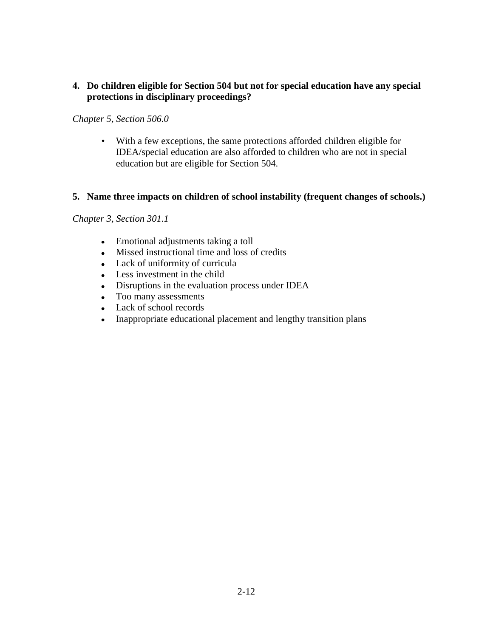## **4. Do children eligible for Section 504 but not for special education have any special protections in disciplinary proceedings?**

## *Chapter 5, Section 506.0*

• With a few exceptions, the same protections afforded children eligible for IDEA/special education are also afforded to children who are not in special education but are eligible for Section 504.

## **5. Name three impacts on children of school instability (frequent changes of schools.)**

## *Chapter 3, Section 301.1*

- Emotional adjustments taking a toll
- Missed instructional time and loss of credits
- Lack of uniformity of curricula
- Less investment in the child
- Disruptions in the evaluation process under IDEA
- Too many assessments
- Lack of school records
- Inappropriate educational placement and lengthy transition plans $\bullet$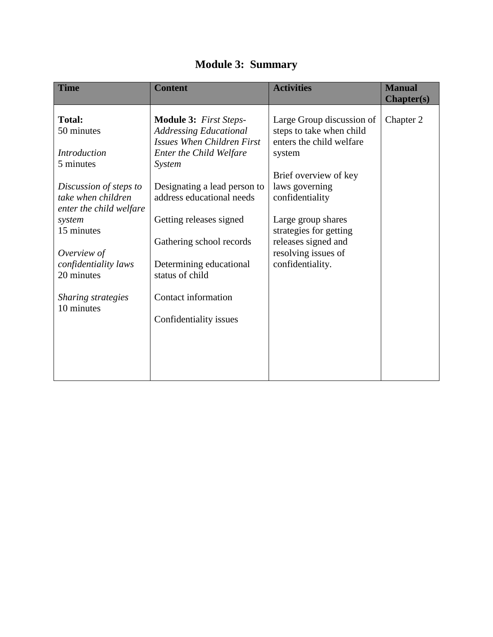| <b>Module 3: Summary</b> |  |
|--------------------------|--|
|--------------------------|--|

| <b>Time</b>                                                                                                                                                                                                                                                        | <b>Content</b>                                                                                                                                                                                                                                                                                                                                              | <b>Activities</b>                                                                                                                                                                                                                                                           | <b>Manual</b><br><b>Chapter(s)</b> |
|--------------------------------------------------------------------------------------------------------------------------------------------------------------------------------------------------------------------------------------------------------------------|-------------------------------------------------------------------------------------------------------------------------------------------------------------------------------------------------------------------------------------------------------------------------------------------------------------------------------------------------------------|-----------------------------------------------------------------------------------------------------------------------------------------------------------------------------------------------------------------------------------------------------------------------------|------------------------------------|
| <b>Total:</b><br>50 minutes<br><b>Introduction</b><br>5 minutes<br>Discussion of steps to<br>take when children<br>enter the child welfare<br>system<br>15 minutes<br>Overview of<br>confidentiality laws<br>20 minutes<br><b>Sharing strategies</b><br>10 minutes | <b>Module 3:</b> First Steps-<br><b>Addressing Educational</b><br><b>Issues When Children First</b><br>Enter the Child Welfare<br>System<br>Designating a lead person to<br>address educational needs<br>Getting releases signed<br>Gathering school records<br>Determining educational<br>status of child<br>Contact information<br>Confidentiality issues | Large Group discussion of<br>steps to take when child<br>enters the child welfare<br>system<br>Brief overview of key<br>laws governing<br>confidentiality<br>Large group shares<br>strategies for getting<br>releases signed and<br>resolving issues of<br>confidentiality. | Chapter 2                          |
|                                                                                                                                                                                                                                                                    |                                                                                                                                                                                                                                                                                                                                                             |                                                                                                                                                                                                                                                                             |                                    |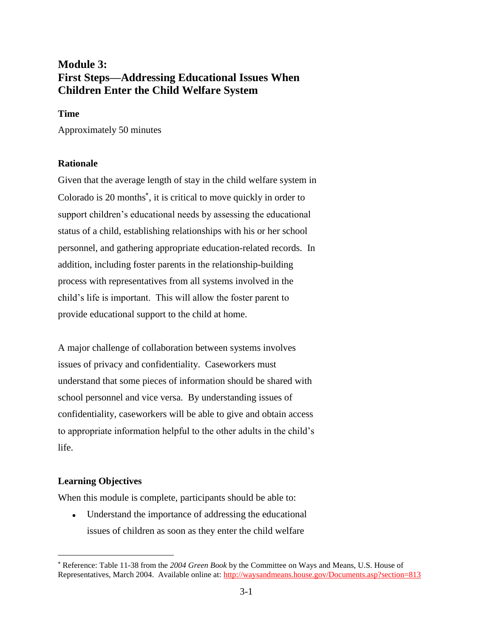## **Module 3: First Steps—Addressing Educational Issues When Children Enter the Child Welfare System**

#### **Time**

Approximately 50 minutes

## **Rationale**

Given that the average length of stay in the child welfare system in Colorado is 20 months<sup>\*</sup>, it is critical to move quickly in order to support children's educational needs by assessing the educational status of a child, establishing relationships with his or her school personnel, and gathering appropriate education-related records. In addition, including foster parents in the relationship-building process with representatives from all systems involved in the child's life is important. This will allow the foster parent to provide educational support to the child at home.

A major challenge of collaboration between systems involves issues of privacy and confidentiality. Caseworkers must understand that some pieces of information should be shared with school personnel and vice versa. By understanding issues of confidentiality, caseworkers will be able to give and obtain access to appropriate information helpful to the other adults in the child's life.

## **Learning Objectives**

 $\overline{a}$ 

When this module is complete, participants should be able to:

Understand the importance of addressing the educational  $\bullet$ issues of children as soon as they enter the child welfare

Reference: Table 11-38 from the *2004 Green Book* by the Committee on Ways and Means, U.S. House of Representatives, March 2004. Available online at: http://waysandmeans.house.gov/Documents.asp?section=813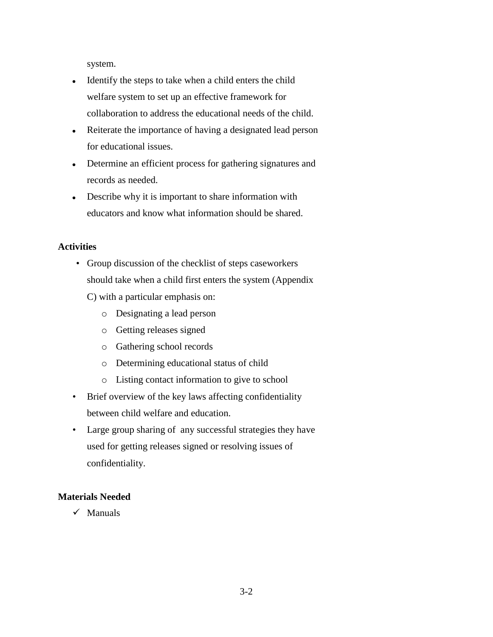system.

- Identify the steps to take when a child enters the child  $\bullet$ welfare system to set up an effective framework for collaboration to address the educational needs of the child.
- Reiterate the importance of having a designated lead person for educational issues.
- Determine an efficient process for gathering signatures and  $\bullet$ records as needed.
- Describe why it is important to share information with educators and know what information should be shared.

## **Activities**

- Group discussion of the checklist of steps caseworkers should take when a child first enters the system (Appendix
	- C) with a particular emphasis on:
		- o Designating a lead person
		- o Getting releases signed
		- o Gathering school records
		- o Determining educational status of child
		- o Listing contact information to give to school
- Brief overview of the key laws affecting confidentiality between child welfare and education.
- Large group sharing of any successful strategies they have used for getting releases signed or resolving issues of confidentiality.

## **Materials Needed**

 $\checkmark$  Manuals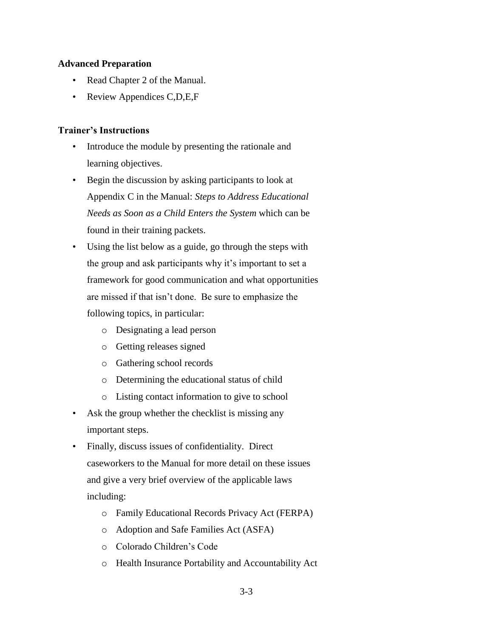## **Advanced Preparation**

- Read Chapter 2 of the Manual.
- Review Appendices C,D,E,F

## **Trainer's Instructions**

- Introduce the module by presenting the rationale and learning objectives.
- Begin the discussion by asking participants to look at Appendix C in the Manual: *Steps to Address Educational Needs as Soon as a Child Enters the System* which can be found in their training packets.
- Using the list below as a guide, go through the steps with the group and ask participants why it's important to set a framework for good communication and what opportunities are missed if that isn't done. Be sure to emphasize the following topics, in particular:
	- o Designating a lead person
	- o Getting releases signed
	- o Gathering school records
	- o Determining the educational status of child
	- o Listing contact information to give to school
- Ask the group whether the checklist is missing any important steps.
- Finally, discuss issues of confidentiality. Direct caseworkers to the Manual for more detail on these issues and give a very brief overview of the applicable laws including:
	- o Family Educational Records Privacy Act (FERPA)
	- o Adoption and Safe Families Act (ASFA)
	- o Colorado Children's Code
	- o Health Insurance Portability and Accountability Act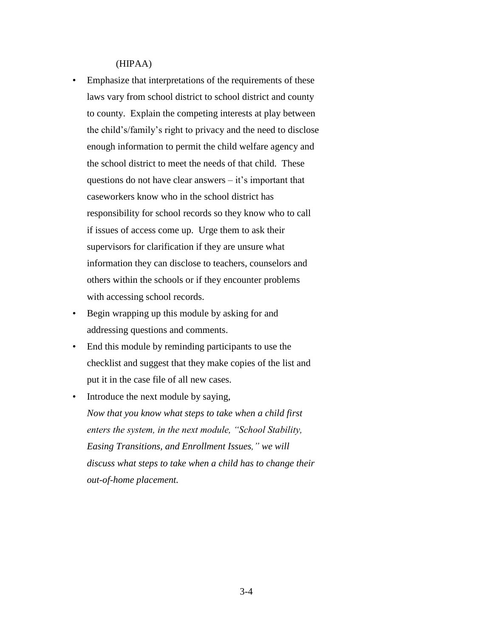(HIPAA)

- Emphasize that interpretations of the requirements of these laws vary from school district to school district and county to county. Explain the competing interests at play between the child's/family's right to privacy and the need to disclose enough information to permit the child welfare agency and the school district to meet the needs of that child. These questions do not have clear answers – it's important that caseworkers know who in the school district has responsibility for school records so they know who to call if issues of access come up. Urge them to ask their supervisors for clarification if they are unsure what information they can disclose to teachers, counselors and others within the schools or if they encounter problems with accessing school records.
- Begin wrapping up this module by asking for and addressing questions and comments.
- End this module by reminding participants to use the checklist and suggest that they make copies of the list and put it in the case file of all new cases.
- Introduce the next module by saying, *Now that you know what steps to take when a child first enters the system, in the next module, "School Stability, Easing Transitions, and Enrollment Issues," we will discuss what steps to take when a child has to change their out-of-home placement.*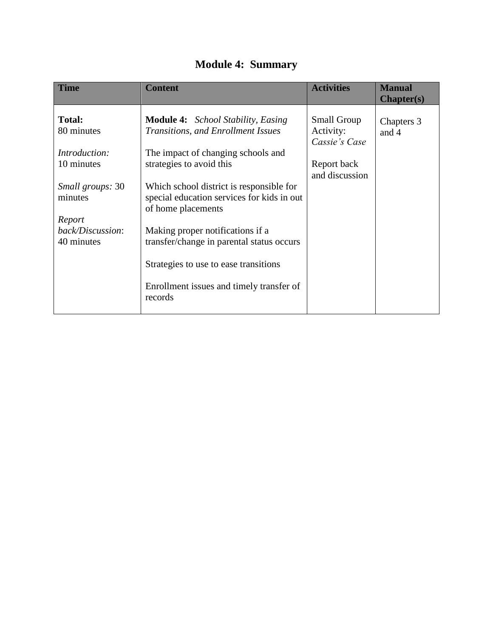| <b>Module 4: Summary</b> |  |
|--------------------------|--|
|--------------------------|--|

| <b>Time</b>                                  | <b>Content</b>                                                                                                        | <b>Activities</b>                                | <b>Manual</b><br><b>Chapter(s)</b> |
|----------------------------------------------|-----------------------------------------------------------------------------------------------------------------------|--------------------------------------------------|------------------------------------|
| <b>Total:</b><br>80 minutes<br>Introduction: | <b>Module 4:</b> School Stability, Easing<br>Transitions, and Enrollment Issues<br>The impact of changing schools and | <b>Small Group</b><br>Activity:<br>Cassie's Case | Chapters 3<br>and 4                |
| 10 minutes                                   | strategies to avoid this                                                                                              | Report back<br>and discussion                    |                                    |
| Small groups: 30<br>minutes                  | Which school district is responsible for<br>special education services for kids in out<br>of home placements          |                                                  |                                    |
| Report<br>back/Discussion:<br>40 minutes     | Making proper notifications if a<br>transfer/change in parental status occurs                                         |                                                  |                                    |
|                                              | Strategies to use to ease transitions                                                                                 |                                                  |                                    |
|                                              | Enrollment issues and timely transfer of<br>records                                                                   |                                                  |                                    |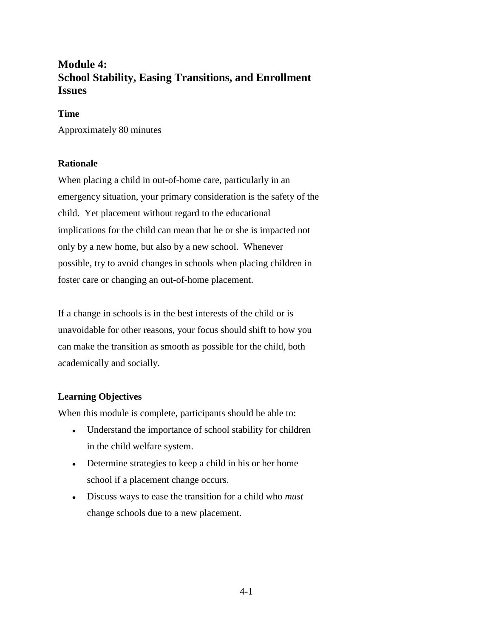## **Module 4: School Stability, Easing Transitions, and Enrollment Issues**

## **Time**

Approximately 80 minutes

## **Rationale**

When placing a child in out-of-home care, particularly in an emergency situation, your primary consideration is the safety of the child. Yet placement without regard to the educational implications for the child can mean that he or she is impacted not only by a new home, but also by a new school. Whenever possible, try to avoid changes in schools when placing children in foster care or changing an out-of-home placement.

If a change in schools is in the best interests of the child or is unavoidable for other reasons, your focus should shift to how you can make the transition as smooth as possible for the child, both academically and socially.

## **Learning Objectives**

When this module is complete, participants should be able to:

- Understand the importance of school stability for children in the child welfare system.
- Determine strategies to keep a child in his or her home school if a placement change occurs.
- Discuss ways to ease the transition for a child who *must* change schools due to a new placement.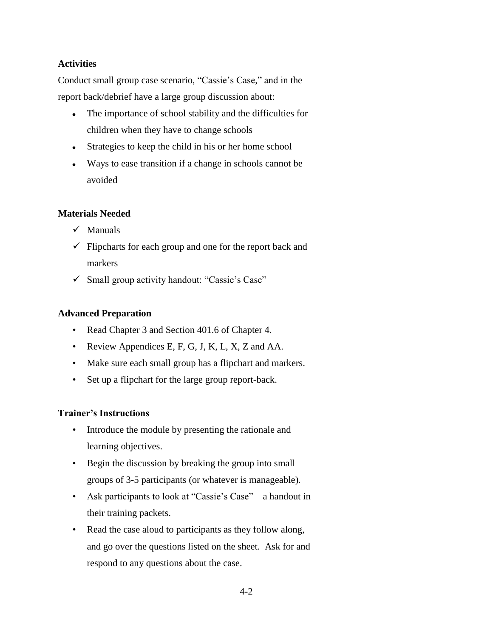## **Activities**

Conduct small group case scenario, "Cassie's Case," and in the report back/debrief have a large group discussion about:

- The importance of school stability and the difficulties for children when they have to change schools
- Strategies to keep the child in his or her home school
- Ways to ease transition if a change in schools cannot be avoided

## **Materials Needed**

- $\checkmark$  Manuals
- $\checkmark$  Flipcharts for each group and one for the report back and markers
- $\checkmark$  Small group activity handout: "Cassie's Case"

## **Advanced Preparation**

- Read Chapter 3 and Section 401.6 of Chapter 4.
- Review Appendices E, F, G, J, K, L, X, Z and AA.
- Make sure each small group has a flipchart and markers.
- Set up a flipchart for the large group report-back.

## **Trainer's Instructions**

- Introduce the module by presenting the rationale and learning objectives.
- Begin the discussion by breaking the group into small groups of 3-5 participants (or whatever is manageable).
- Ask participants to look at "Cassie's Case"—a handout in their training packets.
- Read the case aloud to participants as they follow along, and go over the questions listed on the sheet. Ask for and respond to any questions about the case.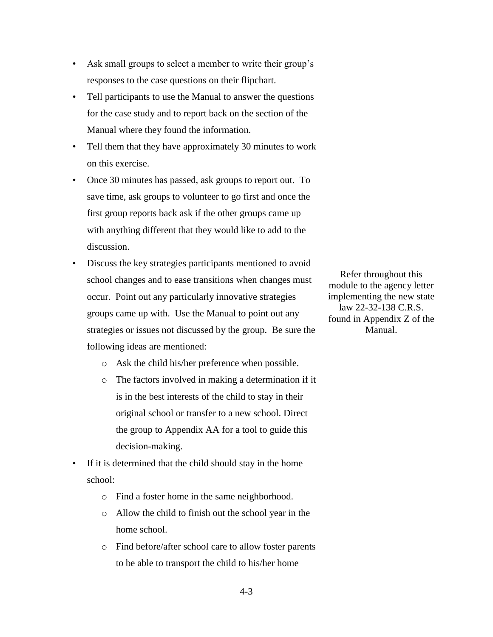- Ask small groups to select a member to write their group's responses to the case questions on their flipchart.
- Tell participants to use the Manual to answer the questions for the case study and to report back on the section of the Manual where they found the information.
- Tell them that they have approximately 30 minutes to work on this exercise.
- Once 30 minutes has passed, ask groups to report out. To save time, ask groups to volunteer to go first and once the first group reports back ask if the other groups came up with anything different that they would like to add to the discussion.
- Discuss the key strategies participants mentioned to avoid school changes and to ease transitions when changes must occur. Point out any particularly innovative strategies groups came up with. Use the Manual to point out any strategies or issues not discussed by the group. Be sure the following ideas are mentioned:
	- o Ask the child his/her preference when possible.
	- o The factors involved in making a determination if it is in the best interests of the child to stay in their original school or transfer to a new school. Direct the group to Appendix AA for a tool to guide this decision-making.
- If it is determined that the child should stay in the home school:
	- o Find a foster home in the same neighborhood.
	- o Allow the child to finish out the school year in the home school.
	- o Find before/after school care to allow foster parents to be able to transport the child to his/her home

Refer throughout this module to the agency letter implementing the new state law 22-32-138 C.R.S. found in Appendix Z of the Manual.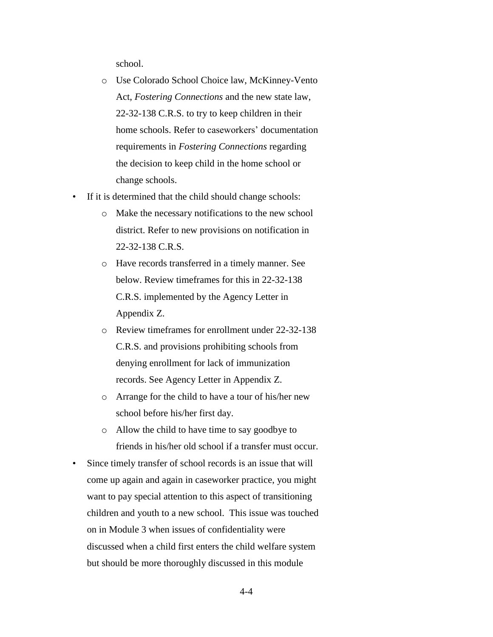school.

- o Use Colorado School Choice law, McKinney-Vento Act, *Fostering Connections* and the new state law, 22-32-138 C.R.S. to try to keep children in their home schools. Refer to caseworkers' documentation requirements in *Fostering Connections* regarding the decision to keep child in the home school or change schools.
- If it is determined that the child should change schools:
	- o Make the necessary notifications to the new school district. Refer to new provisions on notification in 22-32-138 C.R.S.
	- o Have records transferred in a timely manner. See below. Review timeframes for this in 22-32-138 C.R.S. implemented by the Agency Letter in Appendix Z.
	- o Review timeframes for enrollment under 22-32-138 C.R.S. and provisions prohibiting schools from denying enrollment for lack of immunization records. See Agency Letter in Appendix Z.
	- o Arrange for the child to have a tour of his/her new school before his/her first day.
	- o Allow the child to have time to say goodbye to friends in his/her old school if a transfer must occur.
- Since timely transfer of school records is an issue that will come up again and again in caseworker practice, you might want to pay special attention to this aspect of transitioning children and youth to a new school. This issue was touched on in Module 3 when issues of confidentiality were discussed when a child first enters the child welfare system but should be more thoroughly discussed in this module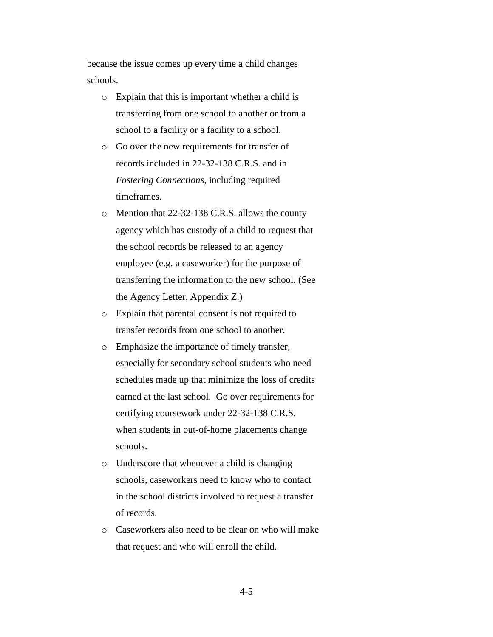because the issue comes up every time a child changes schools.

- o Explain that this is important whether a child is transferring from one school to another or from a school to a facility or a facility to a school.
- o Go over the new requirements for transfer of records included in 22-32-138 C.R.S. and in *Fostering Connections*, including required timeframes.
- o Mention that 22-32-138 C.R.S. allows the county agency which has custody of a child to request that the school records be released to an agency employee (e.g. a caseworker) for the purpose of transferring the information to the new school. (See the Agency Letter, Appendix Z.)
- o Explain that parental consent is not required to transfer records from one school to another.
- o Emphasize the importance of timely transfer, especially for secondary school students who need schedules made up that minimize the loss of credits earned at the last school. Go over requirements for certifying coursework under 22-32-138 C.R.S. when students in out-of-home placements change schools.
- o Underscore that whenever a child is changing schools, caseworkers need to know who to contact in the school districts involved to request a transfer of records.
- o Caseworkers also need to be clear on who will make that request and who will enroll the child.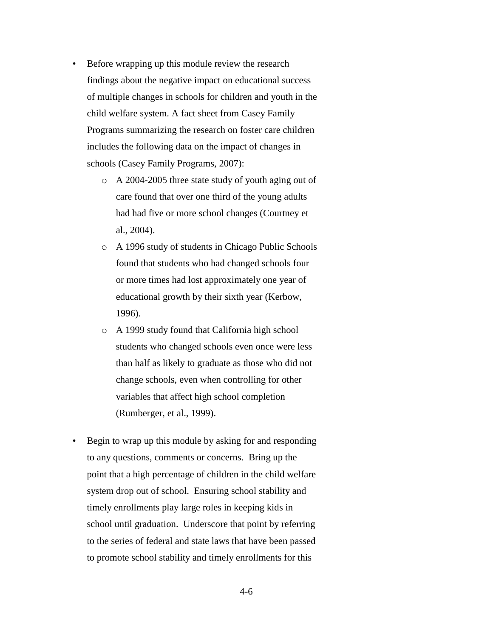- Before wrapping up this module review the research findings about the negative impact on educational success of multiple changes in schools for children and youth in the child welfare system. A fact sheet from Casey Family Programs summarizing the research on foster care children includes the following data on the impact of changes in schools (Casey Family Programs, 2007):
	- o A 2004-2005 three state study of youth aging out of care found that over one third of the young adults had had five or more school changes (Courtney et al., 2004).
	- o A 1996 study of students in Chicago Public Schools found that students who had changed schools four or more times had lost approximately one year of educational growth by their sixth year (Kerbow, 1996).
	- o A 1999 study found that California high school students who changed schools even once were less than half as likely to graduate as those who did not change schools, even when controlling for other variables that affect high school completion (Rumberger, et al., 1999).
- Begin to wrap up this module by asking for and responding to any questions, comments or concerns. Bring up the point that a high percentage of children in the child welfare system drop out of school. Ensuring school stability and timely enrollments play large roles in keeping kids in school until graduation. Underscore that point by referring to the series of federal and state laws that have been passed to promote school stability and timely enrollments for this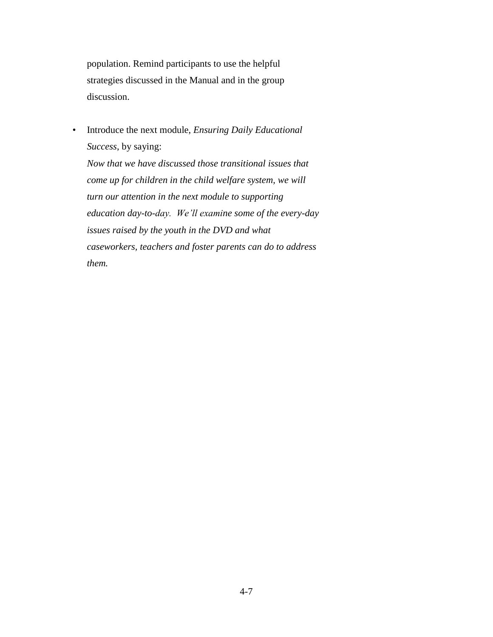population. Remind participants to use the helpful strategies discussed in the Manual and in the group discussion.

• Introduce the next module, *Ensuring Daily Educational Success*, by saying:

*Now that we have discussed those transitional issues that come up for children in the child welfare system, we will turn our attention in the next module to supporting education day-to-day. We'll examine some of the every-day issues raised by the youth in the DVD and what caseworkers, teachers and foster parents can do to address them.*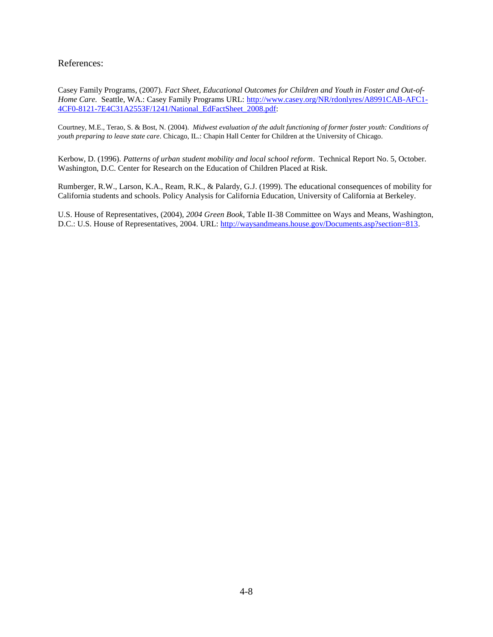References:

Casey Family Programs, (2007). *Fact Sheet, Educational Outcomes for Children and Youth in Foster and Out-of-Home Care.* Seattle, WA.: Casey Family Programs URL: [http://www.casey.org/NR/rdonlyres/A8991CAB-AFC1-](http://www.casey.org/NR/rdonlyres/A8991CAB-AFC1-4CF0-8121-7E4C31A2553F/1241/National_EdFactSheet_2008.pdf) [4CF0-8121-7E4C31A2553F/1241/National\\_EdFactSheet\\_2008.pdf:](http://www.casey.org/NR/rdonlyres/A8991CAB-AFC1-4CF0-8121-7E4C31A2553F/1241/National_EdFactSheet_2008.pdf)

Courtney, M.E., Terao, S. & Bost, N. (2004). *Midwest evaluation of the adult functioning of former foster youth: Conditions of youth preparing to leave state care*. Chicago, IL.: Chapin Hall Center for Children at the University of Chicago.

Kerbow, D. (1996). *Patterns of urban student mobility and local school reform*. Technical Report No. 5, October. Washington, D.C. Center for Research on the Education of Children Placed at Risk.

Rumberger, R.W., Larson, K.A., Ream, R.K., & Palardy, G.J. (1999). The educational consequences of mobility for California students and schools. Policy Analysis for California Education, University of California at Berkeley.

U.S. House of Representatives, (2004), *2004 Green Book*, Table II-38 Committee on Ways and Means, Washington, D.C.: U.S. House of Representatives, 2004. URL: [http://waysandmeans.house.gov/Documents.asp?section=813.](http://waysandmeans.house.gov/Documents.asp?section=813)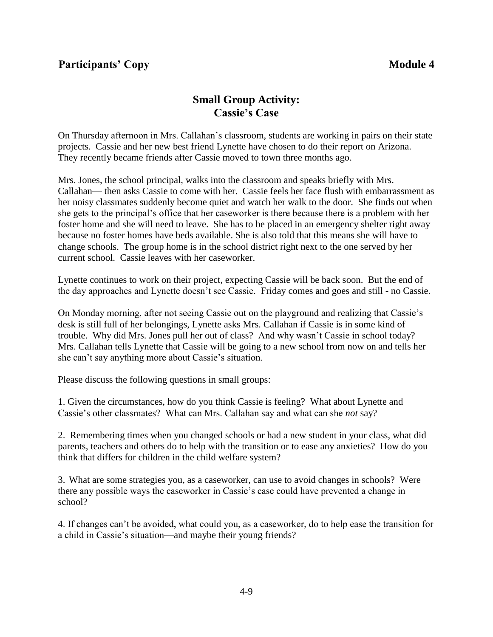## **Participants' Copy Module 4**

## **Small Group Activity: Cassie's Case**

On Thursday afternoon in Mrs. Callahan's classroom, students are working in pairs on their state projects. Cassie and her new best friend Lynette have chosen to do their report on Arizona. They recently became friends after Cassie moved to town three months ago.

Mrs. Jones, the school principal, walks into the classroom and speaks briefly with Mrs. Callahan— then asks Cassie to come with her. Cassie feels her face flush with embarrassment as her noisy classmates suddenly become quiet and watch her walk to the door. She finds out when she gets to the principal's office that her caseworker is there because there is a problem with her foster home and she will need to leave. She has to be placed in an emergency shelter right away because no foster homes have beds available. She is also told that this means she will have to change schools. The group home is in the school district right next to the one served by her current school. Cassie leaves with her caseworker.

Lynette continues to work on their project, expecting Cassie will be back soon. But the end of the day approaches and Lynette doesn't see Cassie. Friday comes and goes and still - no Cassie.

On Monday morning, after not seeing Cassie out on the playground and realizing that Cassie's desk is still full of her belongings, Lynette asks Mrs. Callahan if Cassie is in some kind of trouble. Why did Mrs. Jones pull her out of class? And why wasn't Cassie in school today? Mrs. Callahan tells Lynette that Cassie will be going to a new school from now on and tells her she can't say anything more about Cassie's situation.

Please discuss the following questions in small groups:

1. Given the circumstances, how do you think Cassie is feeling? What about Lynette and Cassie's other classmates? What can Mrs. Callahan say and what can she *not* say?

2. Remembering times when you changed schools or had a new student in your class, what did parents, teachers and others do to help with the transition or to ease any anxieties? How do you think that differs for children in the child welfare system?

3. What are some strategies you, as a caseworker, can use to avoid changes in schools? Were there any possible ways the caseworker in Cassie's case could have prevented a change in school?

4. If changes can't be avoided, what could you, as a caseworker, do to help ease the transition for a child in Cassie's situation—and maybe their young friends?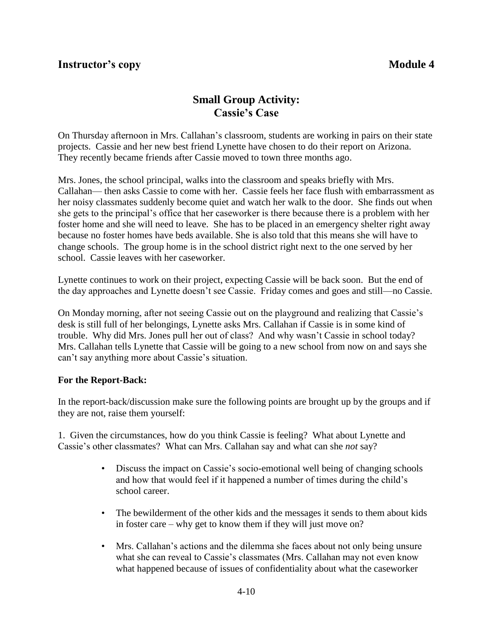## **Instructor's copy Module 4**

## **Small Group Activity: Cassie's Case**

On Thursday afternoon in Mrs. Callahan's classroom, students are working in pairs on their state projects. Cassie and her new best friend Lynette have chosen to do their report on Arizona. They recently became friends after Cassie moved to town three months ago.

Mrs. Jones, the school principal, walks into the classroom and speaks briefly with Mrs. Callahan— then asks Cassie to come with her. Cassie feels her face flush with embarrassment as her noisy classmates suddenly become quiet and watch her walk to the door. She finds out when she gets to the principal's office that her caseworker is there because there is a problem with her foster home and she will need to leave. She has to be placed in an emergency shelter right away because no foster homes have beds available. She is also told that this means she will have to change schools. The group home is in the school district right next to the one served by her school. Cassie leaves with her caseworker.

Lynette continues to work on their project, expecting Cassie will be back soon. But the end of the day approaches and Lynette doesn't see Cassie. Friday comes and goes and still—no Cassie.

On Monday morning, after not seeing Cassie out on the playground and realizing that Cassie's desk is still full of her belongings, Lynette asks Mrs. Callahan if Cassie is in some kind of trouble. Why did Mrs. Jones pull her out of class? And why wasn't Cassie in school today? Mrs. Callahan tells Lynette that Cassie will be going to a new school from now on and says she can't say anything more about Cassie's situation.

## **For the Report-Back:**

In the report-back/discussion make sure the following points are brought up by the groups and if they are not, raise them yourself:

1. Given the circumstances, how do you think Cassie is feeling? What about Lynette and Cassie's other classmates? What can Mrs. Callahan say and what can she *not* say?

- Discuss the impact on Cassie's socio-emotional well being of changing schools and how that would feel if it happened a number of times during the child's school career.
- The bewilderment of the other kids and the messages it sends to them about kids in foster care – why get to know them if they will just move on?
- Mrs. Callahan's actions and the dilemma she faces about not only being unsure what she can reveal to Cassie's classmates (Mrs. Callahan may not even know what happened because of issues of confidentiality about what the caseworker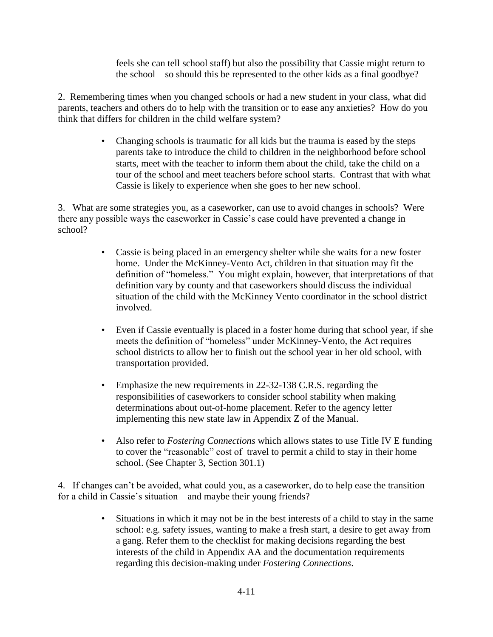feels she can tell school staff) but also the possibility that Cassie might return to the school – so should this be represented to the other kids as a final goodbye?

2. Remembering times when you changed schools or had a new student in your class, what did parents, teachers and others do to help with the transition or to ease any anxieties? How do you think that differs for children in the child welfare system?

> • Changing schools is traumatic for all kids but the trauma is eased by the steps parents take to introduce the child to children in the neighborhood before school starts, meet with the teacher to inform them about the child, take the child on a tour of the school and meet teachers before school starts. Contrast that with what Cassie is likely to experience when she goes to her new school.

3. What are some strategies you, as a caseworker, can use to avoid changes in schools? Were there any possible ways the caseworker in Cassie's case could have prevented a change in school?

- Cassie is being placed in an emergency shelter while she waits for a new foster home. Under the McKinney-Vento Act, children in that situation may fit the definition of "homeless." You might explain, however, that interpretations of that definition vary by county and that caseworkers should discuss the individual situation of the child with the McKinney Vento coordinator in the school district involved.
- Even if Cassie eventually is placed in a foster home during that school year, if she meets the definition of "homeless" under McKinney-Vento, the Act requires school districts to allow her to finish out the school year in her old school, with transportation provided.
- Emphasize the new requirements in 22-32-138 C.R.S. regarding the responsibilities of caseworkers to consider school stability when making determinations about out-of-home placement. Refer to the agency letter implementing this new state law in Appendix Z of the Manual.
- Also refer to *Fostering Connections* which allows states to use Title IV E funding to cover the "reasonable" cost of travel to permit a child to stay in their home school. (See Chapter 3, Section 301.1)

4. If changes can't be avoided, what could you, as a caseworker, do to help ease the transition for a child in Cassie's situation—and maybe their young friends?

> • Situations in which it may not be in the best interests of a child to stay in the same school: e.g. safety issues, wanting to make a fresh start, a desire to get away from a gang. Refer them to the checklist for making decisions regarding the best interests of the child in Appendix AA and the documentation requirements regarding this decision-making under *Fostering Connections*.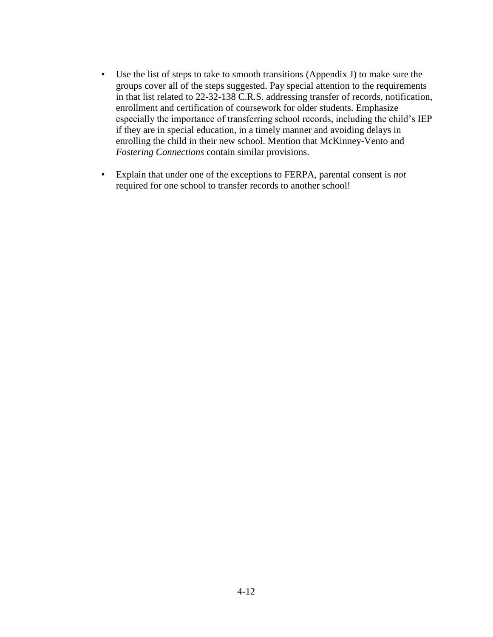- Use the list of steps to take to smooth transitions (Appendix J) to make sure the groups cover all of the steps suggested. Pay special attention to the requirements in that list related to 22-32-138 C.R.S. addressing transfer of records, notification, enrollment and certification of coursework for older students. Emphasize especially the importance of transferring school records, including the child's IEP if they are in special education, in a timely manner and avoiding delays in enrolling the child in their new school. Mention that McKinney-Vento and *Fostering Connections* contain similar provisions.
- Explain that under one of the exceptions to FERPA, parental consent is *not* required for one school to transfer records to another school!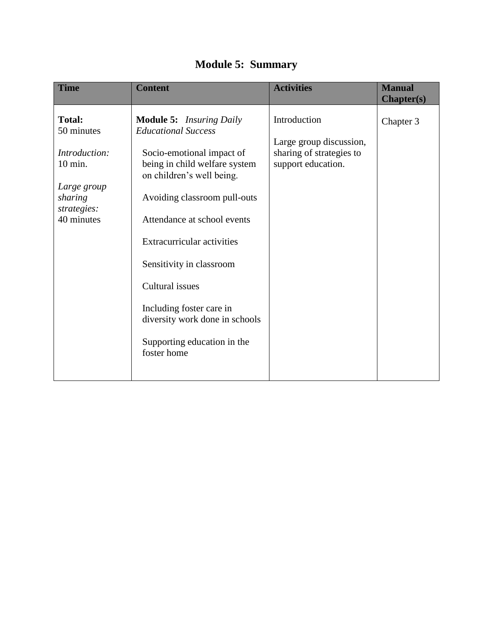| <b>Time</b>                                                                                                    | <b>Content</b>                                                                                                                                                                                                                                                                                                                                                                                                          | <b>Activities</b>                                                                         | <b>Manual</b><br><b>Chapter(s)</b> |
|----------------------------------------------------------------------------------------------------------------|-------------------------------------------------------------------------------------------------------------------------------------------------------------------------------------------------------------------------------------------------------------------------------------------------------------------------------------------------------------------------------------------------------------------------|-------------------------------------------------------------------------------------------|------------------------------------|
| <b>Total:</b><br>50 minutes<br>Introduction:<br>10 min.<br>Large group<br>sharing<br>strategies:<br>40 minutes | <b>Module 5:</b> Insuring Daily<br><b>Educational Success</b><br>Socio-emotional impact of<br>being in child welfare system<br>on children's well being.<br>Avoiding classroom pull-outs<br>Attendance at school events<br><b>Extracurricular activities</b><br>Sensitivity in classroom<br>Cultural issues<br>Including foster care in<br>diversity work done in schools<br>Supporting education in the<br>foster home | Introduction<br>Large group discussion,<br>sharing of strategies to<br>support education. | Chapter 3                          |
|                                                                                                                |                                                                                                                                                                                                                                                                                                                                                                                                                         |                                                                                           |                                    |

## **Module 5: Summary**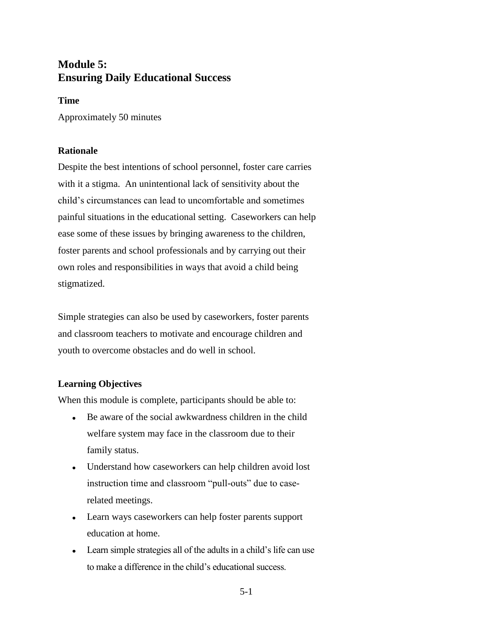## **Module 5: Ensuring Daily Educational Success**

#### **Time**

Approximately 50 minutes

## **Rationale**

Despite the best intentions of school personnel, foster care carries with it a stigma. An unintentional lack of sensitivity about the child's circumstances can lead to uncomfortable and sometimes painful situations in the educational setting. Caseworkers can help ease some of these issues by bringing awareness to the children, foster parents and school professionals and by carrying out their own roles and responsibilities in ways that avoid a child being stigmatized.

Simple strategies can also be used by caseworkers, foster parents and classroom teachers to motivate and encourage children and youth to overcome obstacles and do well in school.

## **Learning Objectives**

When this module is complete, participants should be able to:

- Be aware of the social awkwardness children in the child welfare system may face in the classroom due to their family status.
- Understand how caseworkers can help children avoid lost instruction time and classroom "pull-outs" due to caserelated meetings.
- Learn ways caseworkers can help foster parents support education at home.
- Learn simple strategies all of the adults in a child's life can use to make a difference in the child's educational success.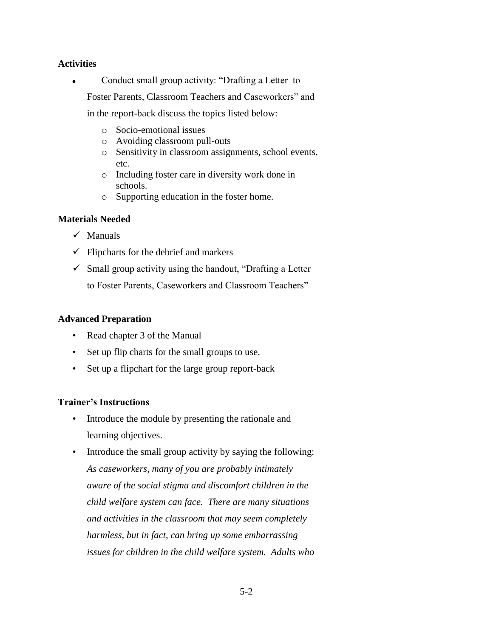## **Activities**

Conduct small group activity: "Drafting a Letter to  $\bullet$ 

Foster Parents, Classroom Teachers and Caseworkers" and

in the report-back discuss the topics listed below:

- o Socio-emotional issues
- o Avoiding classroom pull-outs
- o Sensitivity in classroom assignments, school events, etc.
- o Including foster care in diversity work done in schools.
- o Supporting education in the foster home.

## **Materials Needed**

- $\checkmark$  Manuals
- $\checkmark$  Flipcharts for the debrief and markers
- $\checkmark$  Small group activity using the handout, "Drafting a Letter to Foster Parents, Caseworkers and Classroom Teachers"

## **Advanced Preparation**

- Read chapter 3 of the Manual
- Set up flip charts for the small groups to use.
- Set up a flipchart for the large group report-back

## **Trainer's Instructions**

- Introduce the module by presenting the rationale and learning objectives.
- Introduce the small group activity by saying the following: *As caseworkers, many of you are probably intimately aware of the social stigma and discomfort children in the child welfare system can face. There are many situations and activities in the classroom that may seem completely harmless, but in fact, can bring up some embarrassing issues for children in the child welfare system. Adults who*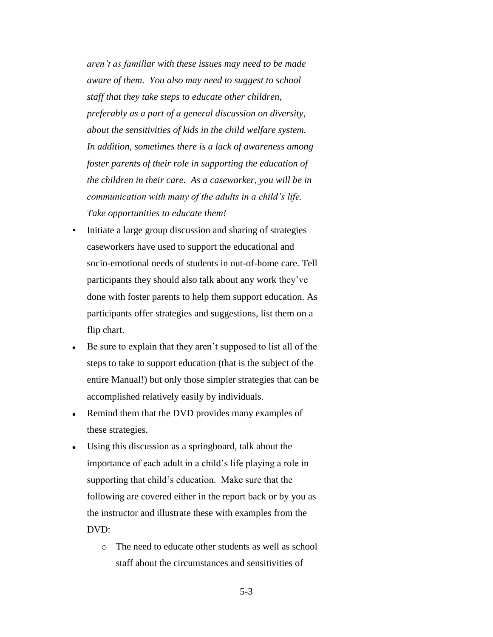*aren't as familiar with these issues may need to be made aware of them. You also may need to suggest to school staff that they take steps to educate other children, preferably as a part of a general discussion on diversity, about the sensitivities of kids in the child welfare system. In addition, sometimes there is a lack of awareness among foster parents of their role in supporting the education of the children in their care. As a caseworker, you will be in communication with many of the adults in a child's life. Take opportunities to educate them!*

- Initiate a large group discussion and sharing of strategies caseworkers have used to support the educational and socio-emotional needs of students in out-of-home care. Tell participants they should also talk about any work they've done with foster parents to help them support education. As participants offer strategies and suggestions, list them on a flip chart.
- Be sure to explain that they aren't supposed to list all of the steps to take to support education (that is the subject of the entire Manual!) but only those simpler strategies that can be accomplished relatively easily by individuals.
- Remind them that the DVD provides many examples of  $\bullet$ these strategies.
- Using this discussion as a springboard, talk about the  $\bullet$ importance of each adult in a child's life playing a role in supporting that child's education. Make sure that the following are covered either in the report back or by you as the instructor and illustrate these with examples from the DVD:
	- o The need to educate other students as well as school staff about the circumstances and sensitivities of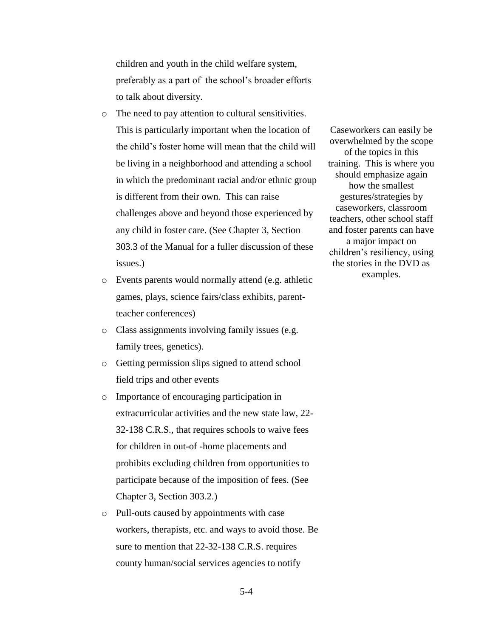children and youth in the child welfare system, preferably as a part of the school's broader efforts to talk about diversity.

- o The need to pay attention to cultural sensitivities. This is particularly important when the location of the child's foster home will mean that the child will be living in a neighborhood and attending a school in which the predominant racial and/or ethnic group is different from their own. This can raise challenges above and beyond those experienced by any child in foster care. (See Chapter 3, Section 303.3 of the Manual for a fuller discussion of these issues.)
- o Events parents would normally attend (e.g. athletic games, plays, science fairs/class exhibits, parentteacher conferences)
- o Class assignments involving family issues (e.g. family trees, genetics).
- o Getting permission slips signed to attend school field trips and other events
- o Importance of encouraging participation in extracurricular activities and the new state law, 22- 32-138 C.R.S., that requires schools to waive fees for children in out-of -home placements and prohibits excluding children from opportunities to participate because of the imposition of fees. (See Chapter 3, Section 303.2.)
- o Pull-outs caused by appointments with case workers, therapists, etc. and ways to avoid those. Be sure to mention that 22-32-138 C.R.S. requires county human/social services agencies to notify

Caseworkers can easily be overwhelmed by the scope of the topics in this training. This is where you should emphasize again how the smallest gestures/strategies by caseworkers, classroom teachers, other school staff and foster parents can have a major impact on children's resiliency, using the stories in the DVD as examples.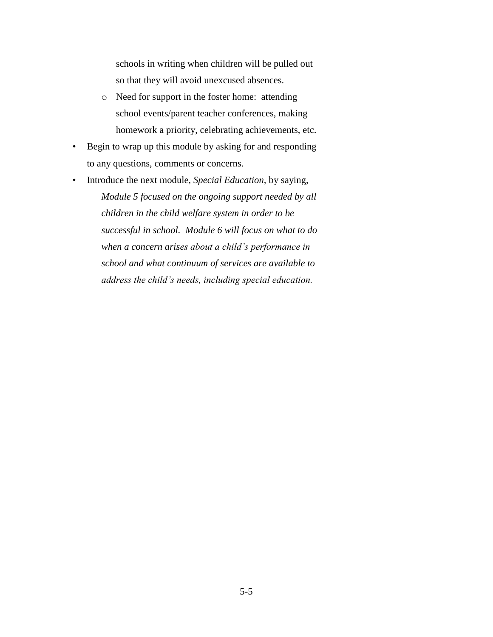schools in writing when children will be pulled out so that they will avoid unexcused absences.

- o Need for support in the foster home: attending school events/parent teacher conferences, making homework a priority, celebrating achievements, etc.
- Begin to wrap up this module by asking for and responding to any questions, comments or concerns.
- Introduce the next module, *Special Education,* by saying, *Module 5 focused on the ongoing support needed by all children in the child welfare system in order to be successful in school. Module 6 will focus on what to do when a concern arises about a child's performance in school and what continuum of services are available to address the child's needs, including special education.*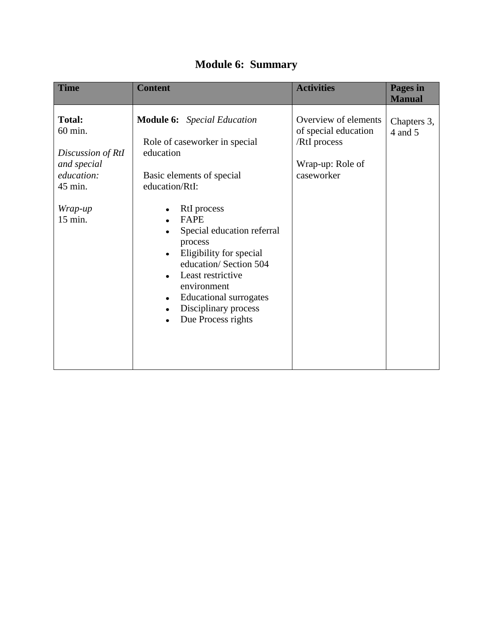| <b>Time</b>                                                                                                 | <b>Content</b>                                                                                                                                                                                                                                                                                                                                                                             | <b>Activities</b>                                                                              | Pages in<br><b>Manual</b> |
|-------------------------------------------------------------------------------------------------------------|--------------------------------------------------------------------------------------------------------------------------------------------------------------------------------------------------------------------------------------------------------------------------------------------------------------------------------------------------------------------------------------------|------------------------------------------------------------------------------------------------|---------------------------|
| <b>Total:</b><br>60 min.<br>Discussion of RtI<br>and special<br>education:<br>45 min.<br>Wrap-up<br>15 min. | <b>Module 6:</b> Special Education<br>Role of caseworker in special<br>education<br>Basic elements of special<br>education/RtI:<br>RtI process<br><b>FAPE</b><br>Special education referral<br>process<br>Eligibility for special<br>education/Section 504<br>Least restrictive<br>environment<br><b>Educational surrogates</b><br>$\bullet$<br>Disciplinary process<br>Due Process rights | Overview of elements<br>of special education<br>/RtI process<br>Wrap-up: Role of<br>caseworker | Chapters 3,<br>4 and 5    |

## **Module 6: Summary**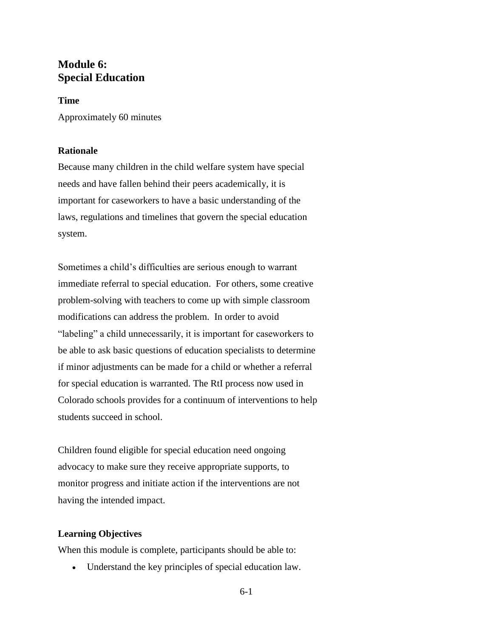## **Module 6: Special Education**

#### **Time**

Approximately 60 minutes

## **Rationale**

Because many children in the child welfare system have special needs and have fallen behind their peers academically, it is important for caseworkers to have a basic understanding of the laws, regulations and timelines that govern the special education system.

Sometimes a child's difficulties are serious enough to warrant immediate referral to special education. For others, some creative problem-solving with teachers to come up with simple classroom modifications can address the problem. In order to avoid "labeling" a child unnecessarily, it is important for caseworkers to be able to ask basic questions of education specialists to determine if minor adjustments can be made for a child or whether a referral for special education is warranted. The RtI process now used in Colorado schools provides for a continuum of interventions to help students succeed in school.

Children found eligible for special education need ongoing advocacy to make sure they receive appropriate supports, to monitor progress and initiate action if the interventions are not having the intended impact.

#### **Learning Objectives**

When this module is complete, participants should be able to:

Understand the key principles of special education law.

6-1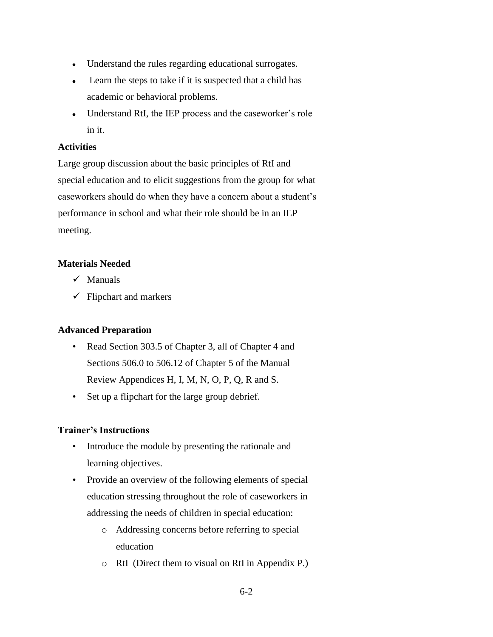- Understand the rules regarding educational surrogates.
- Learn the steps to take if it is suspected that a child has academic or behavioral problems.
- Understand RtI, the IEP process and the caseworker's role in it.

## **Activities**

Large group discussion about the basic principles of RtI and special education and to elicit suggestions from the group for what caseworkers should do when they have a concern about a student's performance in school and what their role should be in an IEP meeting.

## **Materials Needed**

- $\checkmark$  Manuals
- $\checkmark$  Flipchart and markers

## **Advanced Preparation**

- Read Section 303.5 of Chapter 3, all of Chapter 4 and Sections 506.0 to 506.12 of Chapter 5 of the Manual Review Appendices H, I, M, N, O, P, Q, R and S.
- Set up a flipchart for the large group debrief.

## **Trainer's Instructions**

- Introduce the module by presenting the rationale and learning objectives.
- Provide an overview of the following elements of special education stressing throughout the role of caseworkers in addressing the needs of children in special education:
	- o Addressing concerns before referring to special education
	- o RtI (Direct them to visual on RtI in Appendix P.)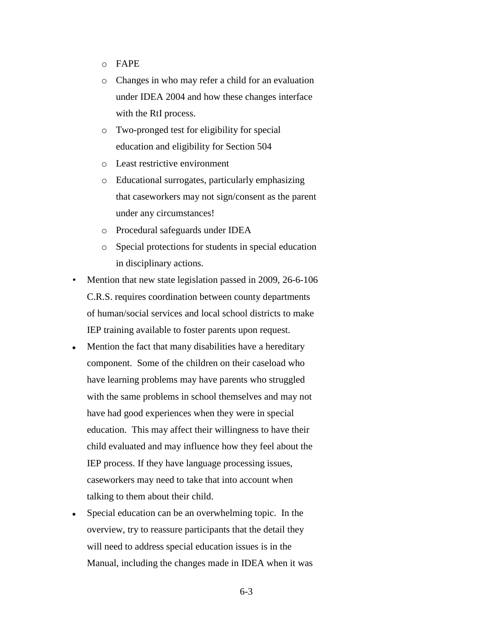- o FAPE
- o Changes in who may refer a child for an evaluation under IDEA 2004 and how these changes interface with the RtI process.
- o Two-pronged test for eligibility for special education and eligibility for Section 504
- o Least restrictive environment
- o Educational surrogates, particularly emphasizing that caseworkers may not sign/consent as the parent under any circumstances!
- o Procedural safeguards under IDEA
- o Special protections for students in special education in disciplinary actions.
- Mention that new state legislation passed in 2009, 26-6-106 C.R.S. requires coordination between county departments of human/social services and local school districts to make IEP training available to foster parents upon request.
- Mention the fact that many disabilities have a hereditary  $\bullet$ component. Some of the children on their caseload who have learning problems may have parents who struggled with the same problems in school themselves and may not have had good experiences when they were in special education. This may affect their willingness to have their child evaluated and may influence how they feel about the IEP process. If they have language processing issues, caseworkers may need to take that into account when talking to them about their child.
- Special education can be an overwhelming topic. In the  $\bullet$ overview, try to reassure participants that the detail they will need to address special education issues is in the Manual, including the changes made in IDEA when it was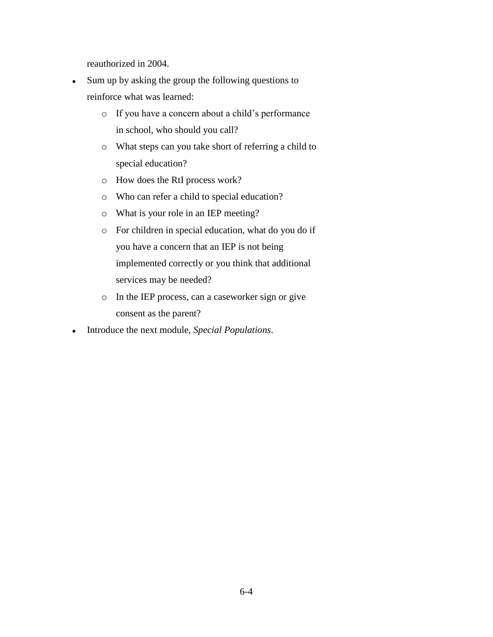reauthorized in 2004.

- Sum up by asking the group the following questions to reinforce what was learned:
	- o If you have a concern about a child's performance in school, who should you call?
	- o What steps can you take short of referring a child to special education?
	- o How does the RtI process work?
	- o Who can refer a child to special education?
	- o What is your role in an IEP meeting?
	- o For children in special education, what do you do if you have a concern that an IEP is not being implemented correctly or you think that additional services may be needed?
	- o In the IEP process, can a caseworker sign or give consent as the parent?
- Introduce the next module, *Special Populations*. $\bullet$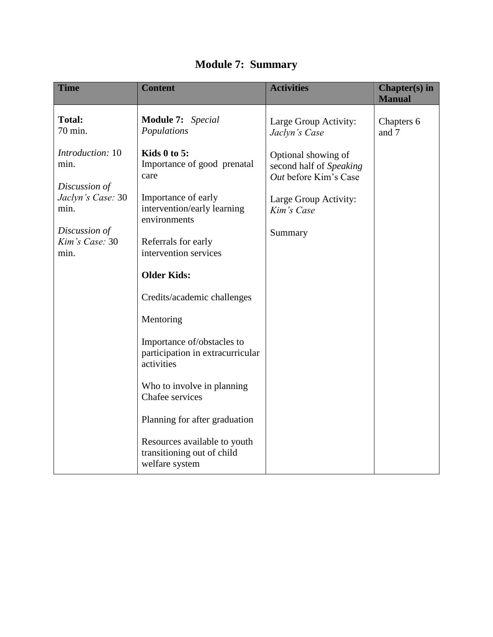| <b>Time</b>                                                                                                         | <b>Content</b>                                                                                                                                                            | <b>Activities</b>                                                                                                                                                   | Chapter(s) in<br><b>Manual</b> |
|---------------------------------------------------------------------------------------------------------------------|---------------------------------------------------------------------------------------------------------------------------------------------------------------------------|---------------------------------------------------------------------------------------------------------------------------------------------------------------------|--------------------------------|
| <b>Total:</b><br>70 min.<br>Introduction: 10<br>min.<br>Discussion of<br>Jaclyn's Case: 30<br>min.<br>Discussion of | <b>Module 7:</b> Special<br>Populations<br>Kids $0$ to $5$ :<br>Importance of good prenatal<br>care<br>Importance of early<br>intervention/early learning<br>environments | Large Group Activity:<br>Jaclyn's Case<br>Optional showing of<br>second half of Speaking<br>Out before Kim's Case<br>Large Group Activity:<br>Kim's Case<br>Summary | Chapters 6<br>and 7            |
| Kim's Case: 30<br>min.                                                                                              | Referrals for early<br>intervention services<br><b>Older Kids:</b><br>Credits/academic challenges                                                                         |                                                                                                                                                                     |                                |
|                                                                                                                     | Mentoring<br>Importance of/obstacles to<br>participation in extracurricular<br>activities                                                                                 |                                                                                                                                                                     |                                |
|                                                                                                                     | Who to involve in planning<br>Chafee services<br>Planning for after graduation<br>Resources available to youth<br>transitioning out of child<br>welfare system            |                                                                                                                                                                     |                                |

## **Module 7: Summary**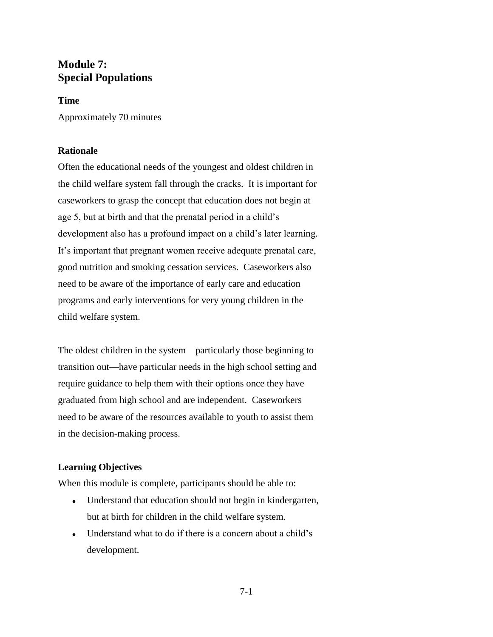## **Module 7: Special Populations**

## **Time**

Approximately 70 minutes

## **Rationale**

Often the educational needs of the youngest and oldest children in the child welfare system fall through the cracks. It is important for caseworkers to grasp the concept that education does not begin at age 5, but at birth and that the prenatal period in a child's development also has a profound impact on a child's later learning. It's important that pregnant women receive adequate prenatal care, good nutrition and smoking cessation services. Caseworkers also need to be aware of the importance of early care and education programs and early interventions for very young children in the child welfare system.

The oldest children in the system—particularly those beginning to transition out—have particular needs in the high school setting and require guidance to help them with their options once they have graduated from high school and are independent. Caseworkers need to be aware of the resources available to youth to assist them in the decision-making process.

## **Learning Objectives**

When this module is complete, participants should be able to:

- Understand that education should not begin in kindergarten, but at birth for children in the child welfare system.
- Understand what to do if there is a concern about a child's development.

7-1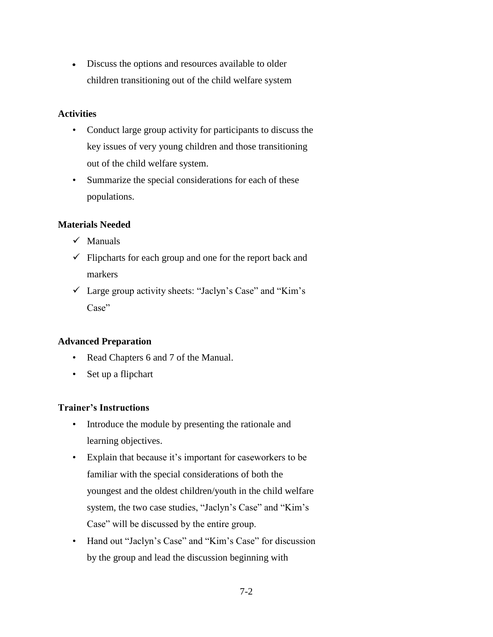Discuss the options and resources available to older  $\bullet$ children transitioning out of the child welfare system

## **Activities**

- Conduct large group activity for participants to discuss the key issues of very young children and those transitioning out of the child welfare system.
- Summarize the special considerations for each of these populations.

## **Materials Needed**

- $\checkmark$  Manuals
- $\checkmark$  Flipcharts for each group and one for the report back and markers
- $\checkmark$  Large group activity sheets: "Jaclyn's Case" and "Kim's Case"

## **Advanced Preparation**

- Read Chapters 6 and 7 of the Manual.
- Set up a flipchart

## **Trainer's Instructions**

- Introduce the module by presenting the rationale and learning objectives.
- Explain that because it's important for caseworkers to be familiar with the special considerations of both the youngest and the oldest children/youth in the child welfare system, the two case studies, "Jaclyn's Case" and "Kim's Case" will be discussed by the entire group.
- Hand out "Jaclyn's Case" and "Kim's Case" for discussion by the group and lead the discussion beginning with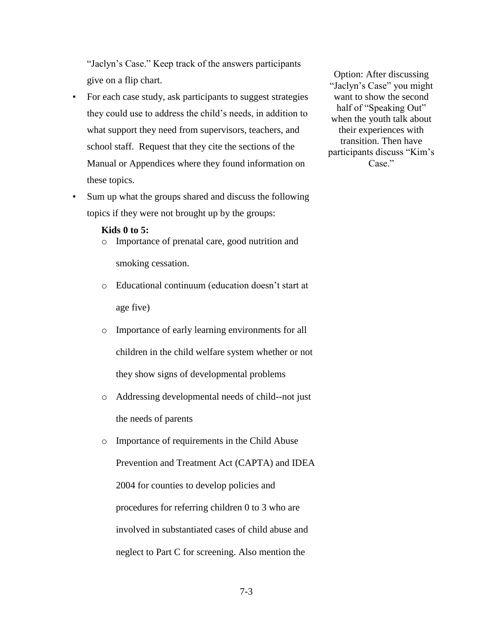"Jaclyn's Case." Keep track of the answers participants give on a flip chart.

- For each case study, ask participants to suggest strategies they could use to address the child's needs, in addition to what support they need from supervisors, teachers, and school staff. Request that they cite the sections of the Manual or Appendices where they found information on these topics.
- Sum up what the groups shared and discuss the following topics if they were not brought up by the groups:

#### **Kids 0 to 5:**

- o Importance of prenatal care, good nutrition and smoking cessation.
- o Educational continuum (education doesn't start at age five)
- o Importance of early learning environments for all children in the child welfare system whether or not they show signs of developmental problems
- o Addressing developmental needs of child--not just the needs of parents
- o Importance of requirements in the Child Abuse Prevention and Treatment Act (CAPTA) and IDEA 2004 for counties to develop policies and procedures for referring children 0 to 3 who are involved in substantiated cases of child abuse and neglect to Part C for screening. Also mention the

Option: After discussing "Jaclyn's Case" you might want to show the second half of "Speaking Out" when the youth talk about their experiences with transition. Then have participants discuss "Kim's Case."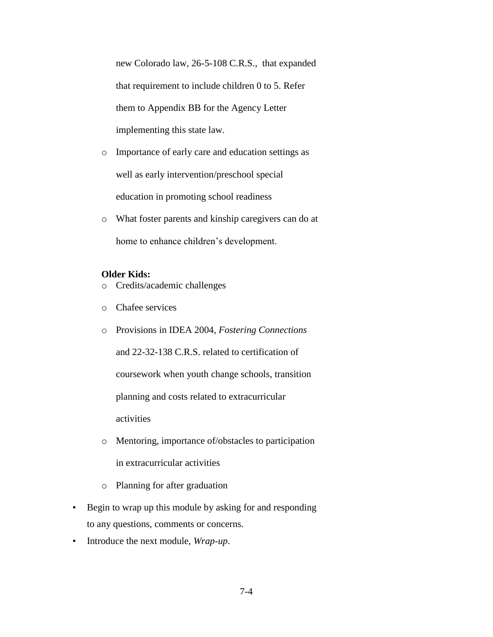new Colorado law, 26-5-108 C.R.S., that expanded that requirement to include children 0 to 5. Refer them to Appendix BB for the Agency Letter implementing this state law.

- o Importance of early care and education settings as well as early intervention/preschool special education in promoting school readiness
- o What foster parents and kinship caregivers can do at home to enhance children's development.

#### **Older Kids:**

- o Credits/academic challenges
- o Chafee services
- o Provisions in IDEA 2004, *Fostering Connections* and 22-32-138 C.R.S. related to certification of coursework when youth change schools, transition planning and costs related to extracurricular activities
- o Mentoring, importance of/obstacles to participation in extracurricular activities
- o Planning for after graduation
- Begin to wrap up this module by asking for and responding to any questions, comments or concerns.
- Introduce the next module, *Wrap-up*.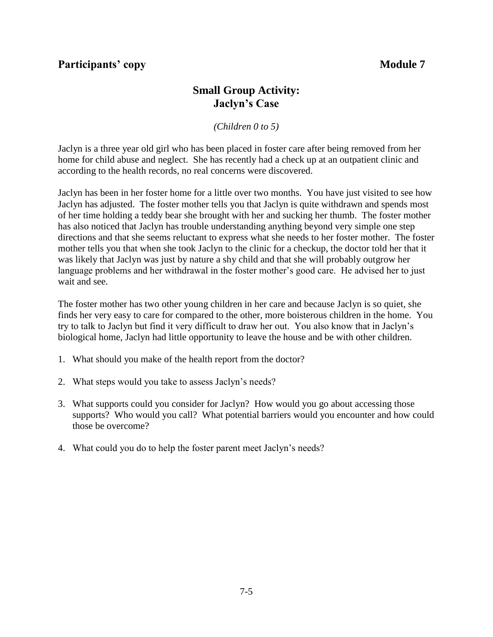## **Participants' copy Module 7**

## **Small Group Activity: Jaclyn's Case**

*(Children 0 to 5)*

Jaclyn is a three year old girl who has been placed in foster care after being removed from her home for child abuse and neglect. She has recently had a check up at an outpatient clinic and according to the health records, no real concerns were discovered.

Jaclyn has been in her foster home for a little over two months. You have just visited to see how Jaclyn has adjusted. The foster mother tells you that Jaclyn is quite withdrawn and spends most of her time holding a teddy bear she brought with her and sucking her thumb. The foster mother has also noticed that Jaclyn has trouble understanding anything beyond very simple one step directions and that she seems reluctant to express what she needs to her foster mother. The foster mother tells you that when she took Jaclyn to the clinic for a checkup, the doctor told her that it was likely that Jaclyn was just by nature a shy child and that she will probably outgrow her language problems and her withdrawal in the foster mother's good care. He advised her to just wait and see.

The foster mother has two other young children in her care and because Jaclyn is so quiet, she finds her very easy to care for compared to the other, more boisterous children in the home. You try to talk to Jaclyn but find it very difficult to draw her out. You also know that in Jaclyn's biological home, Jaclyn had little opportunity to leave the house and be with other children.

- 1. What should you make of the health report from the doctor?
- 2. What steps would you take to assess Jaclyn's needs?
- 3. What supports could you consider for Jaclyn? How would you go about accessing those supports? Who would you call? What potential barriers would you encounter and how could those be overcome?
- 4. What could you do to help the foster parent meet Jaclyn's needs?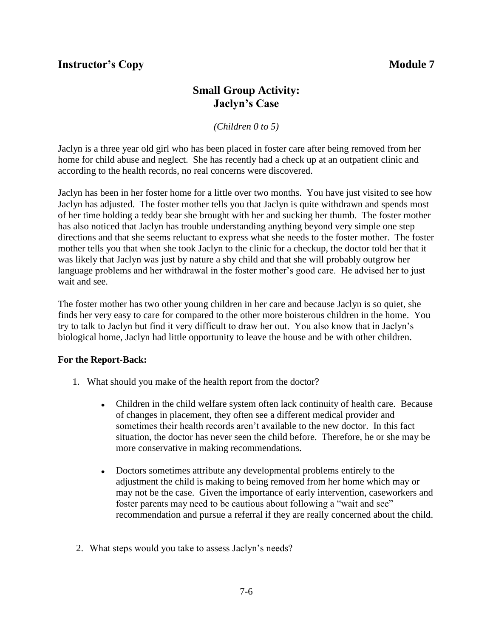## **Instructor's Copy Module 7**

## **Small Group Activity: Jaclyn's Case**

*(Children 0 to 5)*

Jaclyn is a three year old girl who has been placed in foster care after being removed from her home for child abuse and neglect. She has recently had a check up at an outpatient clinic and according to the health records, no real concerns were discovered.

Jaclyn has been in her foster home for a little over two months. You have just visited to see how Jaclyn has adjusted. The foster mother tells you that Jaclyn is quite withdrawn and spends most of her time holding a teddy bear she brought with her and sucking her thumb. The foster mother has also noticed that Jaclyn has trouble understanding anything beyond very simple one step directions and that she seems reluctant to express what she needs to the foster mother. The foster mother tells you that when she took Jaclyn to the clinic for a checkup, the doctor told her that it was likely that Jaclyn was just by nature a shy child and that she will probably outgrow her language problems and her withdrawal in the foster mother's good care. He advised her to just wait and see.

The foster mother has two other young children in her care and because Jaclyn is so quiet, she finds her very easy to care for compared to the other more boisterous children in the home. You try to talk to Jaclyn but find it very difficult to draw her out. You also know that in Jaclyn's biological home, Jaclyn had little opportunity to leave the house and be with other children.

## **For the Report-Back:**

- 1. What should you make of the health report from the doctor?
	- Children in the child welfare system often lack continuity of health care. Because  $\bullet$ of changes in placement, they often see a different medical provider and sometimes their health records aren't available to the new doctor. In this fact situation, the doctor has never seen the child before. Therefore, he or she may be more conservative in making recommendations.
	- Doctors sometimes attribute any developmental problems entirely to the  $\bullet$ adjustment the child is making to being removed from her home which may or may not be the case. Given the importance of early intervention, caseworkers and foster parents may need to be cautious about following a "wait and see" recommendation and pursue a referral if they are really concerned about the child.
- 2. What steps would you take to assess Jaclyn's needs?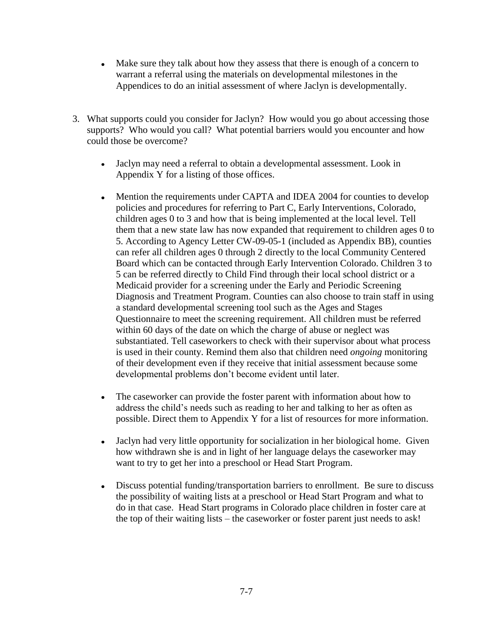- Make sure they talk about how they assess that there is enough of a concern to warrant a referral using the materials on developmental milestones in the Appendices to do an initial assessment of where Jaclyn is developmentally.
- 3. What supports could you consider for Jaclyn? How would you go about accessing those supports? Who would you call? What potential barriers would you encounter and how could those be overcome?
	- Jaclyn may need a referral to obtain a developmental assessment. Look in  $\bullet$ Appendix Y for a listing of those offices.
	- Mention the requirements under CAPTA and IDEA 2004 for counties to develop policies and procedures for referring to Part C, Early Interventions, Colorado, children ages 0 to 3 and how that is being implemented at the local level. Tell them that a new state law has now expanded that requirement to children ages 0 to 5. According to Agency Letter CW-09-05-1 (included as Appendix BB), counties can refer all children ages 0 through 2 directly to the local Community Centered Board which can be contacted through Early Intervention Colorado. Children 3 to 5 can be referred directly to Child Find through their local school district or a Medicaid provider for a screening under the Early and Periodic Screening Diagnosis and Treatment Program. Counties can also choose to train staff in using a standard developmental screening tool such as the Ages and Stages Questionnaire to meet the screening requirement. All children must be referred within 60 days of the date on which the charge of abuse or neglect was substantiated. Tell caseworkers to check with their supervisor about what process is used in their county. Remind them also that children need *ongoing* monitoring of their development even if they receive that initial assessment because some developmental problems don't become evident until later.
	- The caseworker can provide the foster parent with information about how to  $\bullet$ address the child's needs such as reading to her and talking to her as often as possible. Direct them to Appendix Y for a list of resources for more information.
	- $\bullet$ Jaclyn had very little opportunity for socialization in her biological home. Given how withdrawn she is and in light of her language delays the caseworker may want to try to get her into a preschool or Head Start Program.
	- Discuss potential funding/transportation barriers to enrollment. Be sure to discuss  $\bullet$  . the possibility of waiting lists at a preschool or Head Start Program and what to do in that case. Head Start programs in Colorado place children in foster care at the top of their waiting lists – the caseworker or foster parent just needs to ask!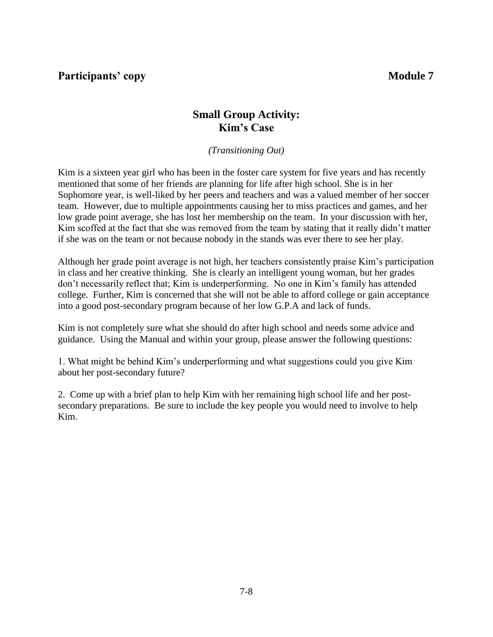**Participants' copy Module 7** 

## **Small Group Activity: Kim's Case**

*(Transitioning Out)*

Kim is a sixteen year girl who has been in the foster care system for five years and has recently mentioned that some of her friends are planning for life after high school. She is in her Sophomore year, is well-liked by her peers and teachers and was a valued member of her soccer team. However, due to multiple appointments causing her to miss practices and games, and her low grade point average, she has lost her membership on the team. In your discussion with her, Kim scoffed at the fact that she was removed from the team by stating that it really didn't matter if she was on the team or not because nobody in the stands was ever there to see her play.

Although her grade point average is not high, her teachers consistently praise Kim's participation in class and her creative thinking. She is clearly an intelligent young woman, but her grades don't necessarily reflect that; Kim is underperforming. No one in Kim's family has attended college. Further, Kim is concerned that she will not be able to afford college or gain acceptance into a good post-secondary program because of her low G.P.A and lack of funds.

Kim is not completely sure what she should do after high school and needs some advice and guidance. Using the Manual and within your group, please answer the following questions:

1. What might be behind Kim's underperforming and what suggestions could you give Kim about her post-secondary future?

2. Come up with a brief plan to help Kim with her remaining high school life and her postsecondary preparations. Be sure to include the key people you would need to involve to help Kim.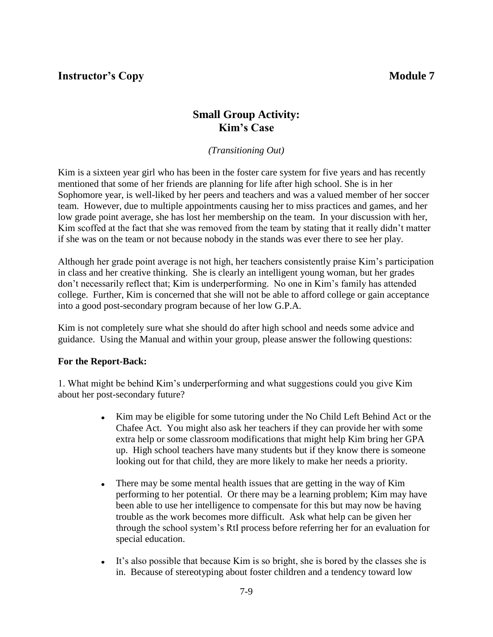**Instructor's Copy Module 7** 

## **Small Group Activity: Kim's Case**

*(Transitioning Out)*

Kim is a sixteen year girl who has been in the foster care system for five years and has recently mentioned that some of her friends are planning for life after high school. She is in her Sophomore year, is well-liked by her peers and teachers and was a valued member of her soccer team. However, due to multiple appointments causing her to miss practices and games, and her low grade point average, she has lost her membership on the team. In your discussion with her, Kim scoffed at the fact that she was removed from the team by stating that it really didn't matter if she was on the team or not because nobody in the stands was ever there to see her play.

Although her grade point average is not high, her teachers consistently praise Kim's participation in class and her creative thinking. She is clearly an intelligent young woman, but her grades don't necessarily reflect that; Kim is underperforming. No one in Kim's family has attended college. Further, Kim is concerned that she will not be able to afford college or gain acceptance into a good post-secondary program because of her low G.P.A.

Kim is not completely sure what she should do after high school and needs some advice and guidance. Using the Manual and within your group, please answer the following questions:

## **For the Report-Back:**

1. What might be behind Kim's underperforming and what suggestions could you give Kim about her post-secondary future?

- $\bullet$ Kim may be eligible for some tutoring under the No Child Left Behind Act or the Chafee Act. You might also ask her teachers if they can provide her with some extra help or some classroom modifications that might help Kim bring her GPA up. High school teachers have many students but if they know there is someone looking out for that child, they are more likely to make her needs a priority.
- There may be some mental health issues that are getting in the way of Kim  $\bullet$ performing to her potential. Or there may be a learning problem; Kim may have been able to use her intelligence to compensate for this but may now be having trouble as the work becomes more difficult. Ask what help can be given her through the school system's RtI process before referring her for an evaluation for special education.
- It's also possible that because Kim is so bright, she is bored by the classes she is in. Because of stereotyping about foster children and a tendency toward low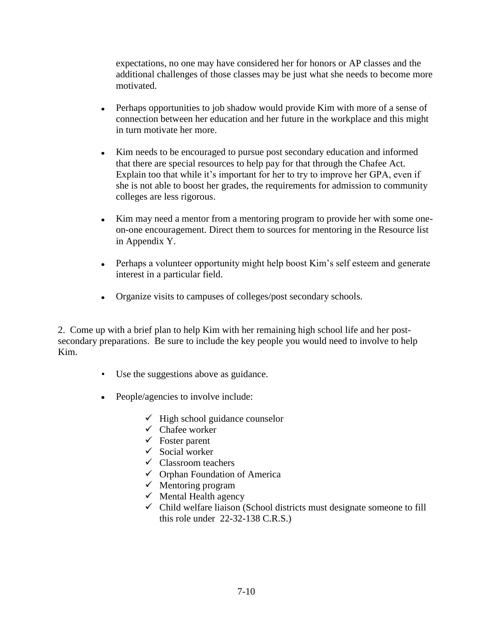expectations, no one may have considered her for honors or AP classes and the additional challenges of those classes may be just what she needs to become more motivated.

- $\bullet$ Perhaps opportunities to job shadow would provide Kim with more of a sense of connection between her education and her future in the workplace and this might in turn motivate her more.
- Kim needs to be encouraged to pursue post secondary education and informed that there are special resources to help pay for that through the Chafee Act. Explain too that while it's important for her to try to improve her GPA, even if she is not able to boost her grades, the requirements for admission to community colleges are less rigorous.
- $\bullet$ Kim may need a mentor from a mentoring program to provide her with some oneon-one encouragement. Direct them to sources for mentoring in the Resource list in Appendix Y.
- Perhaps a volunteer opportunity might help boost Kim's self esteem and generate interest in a particular field.
- Organize visits to campuses of colleges/post secondary schools.

2. Come up with a brief plan to help Kim with her remaining high school life and her postsecondary preparations. Be sure to include the key people you would need to involve to help Kim.

- Use the suggestions above as guidance.
- People/agencies to involve include:
	- $\checkmark$  High school guidance counselor
	- $\checkmark$  Chafee worker
	- $\checkmark$  Foster parent
	- $\checkmark$  Social worker
	- $\checkmark$  Classroom teachers
	- $\checkmark$  Orphan Foundation of America
	- $\checkmark$  Mentoring program
	- $\checkmark$  Mental Health agency
	- $\checkmark$  Child welfare liaison (School districts must designate someone to fill this role under 22-32-138 C.R.S.)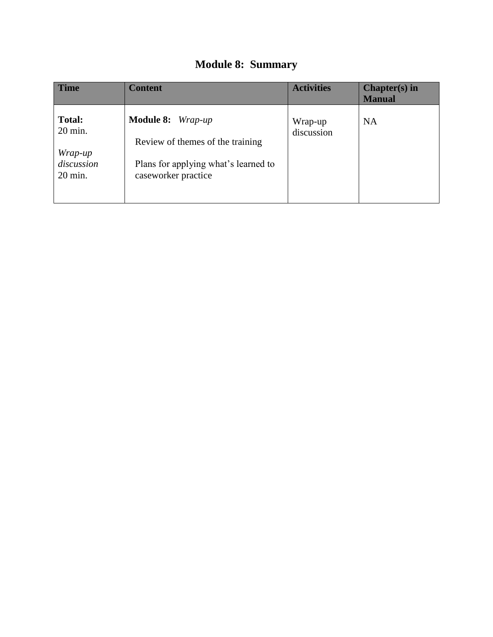## **Module 8: Summary**

| <b>Time</b>                                                  | <b>Content</b>                                                                                                       | <b>Activities</b>     | $Chapter(s)$ in<br><b>Manual</b> |
|--------------------------------------------------------------|----------------------------------------------------------------------------------------------------------------------|-----------------------|----------------------------------|
| <b>Total:</b><br>20 min.<br>Wrap-up<br>discussion<br>20 min. | Module 8: Wrap-up<br>Review of the es of the training<br>Plans for applying what's learned to<br>caseworker practice | Wrap-up<br>discussion | <b>NA</b>                        |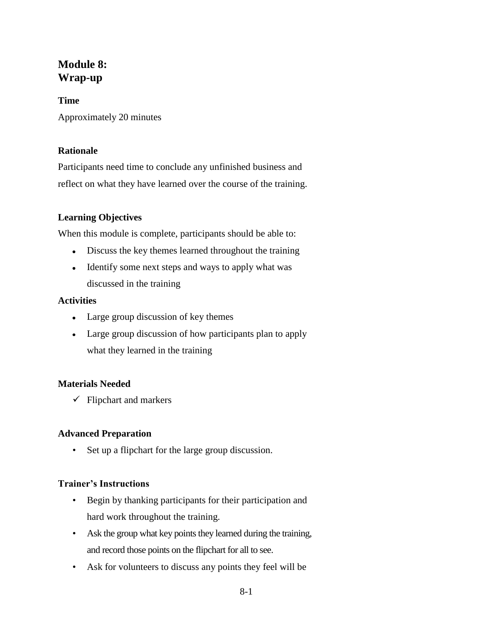## **Module 8: Wrap-up**

## **Time** Approximately 20 minutes

## **Rationale**

Participants need time to conclude any unfinished business and reflect on what they have learned over the course of the training.

## **Learning Objectives**

When this module is complete, participants should be able to:

- Discuss the key themes learned throughout the training
- Identify some next steps and ways to apply what was discussed in the training

## **Activities**

- Large group discussion of key themes
- Large group discussion of how participants plan to apply what they learned in the training

## **Materials Needed**

 $\checkmark$  Flipchart and markers

## **Advanced Preparation**

• Set up a flipchart for the large group discussion.

## **Trainer's Instructions**

- Begin by thanking participants for their participation and hard work throughout the training.
- Ask the group what key points they learned during the training, and record those points on the flipchart for all to see.
- Ask for volunteers to discuss any points they feel will be